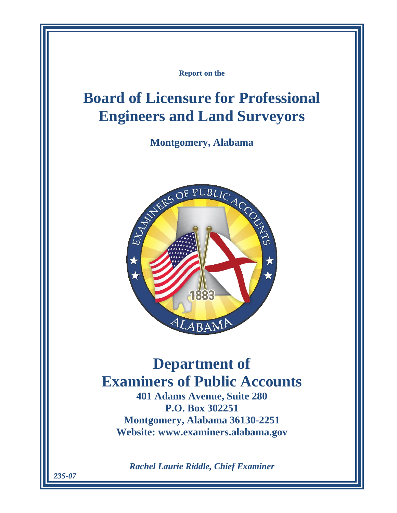**Report on the**

# **Board of Licensure for Professional Engineers and Land Surveyors**

**Montgomery, Alabama**



# **Department of Examiners of Public Accounts**

**401 Adams Avenue, Suite 280 P.O. Box 302251 Montgomery, Alabama 36130-2251 Website: www.examiners.alabama.gov**

*Rachel Laurie Riddle, Chief Examiner*

*23S-07*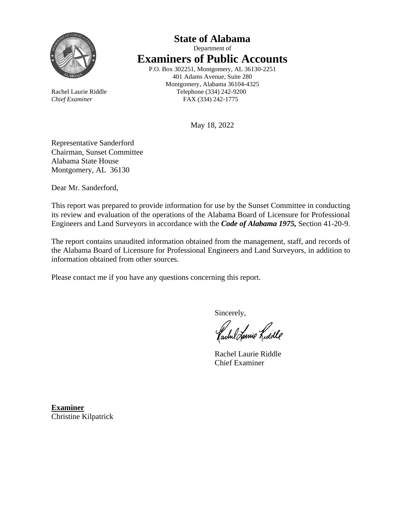

## **State of Alabama** Department of **Examiners of Public Accounts** P.O. Box 302251, Montgomery, AL 36130-2251

401 Adams Avenue, Suite 280 Montgomery, Alabama 36104-4325 Rachel Laurie Riddle Telephone (334) 242-9200 *Chief Examiner* FAX (334) 242-1775

May 18, 2022

Representative Sanderford Chairman, Sunset Committee Alabama State House Montgomery, AL 36130

Dear Mr. Sanderford,

This report was prepared to provide information for use by the Sunset Committee in conducting its review and evaluation of the operations of the Alabama Board of Licensure for Professional Engineers and Land Surveyors in accordance with the *Code of Alabama 1975,* Section 41-20-9.

The report contains unaudited information obtained from the management, staff, and records of the Alabama Board of Licensure for Professional Engineers and Land Surveyors, in addition to information obtained from other sources.

Please contact me if you have any questions concerning this report.

Sincerely,

fachel Lanie Lidde

Rachel Laurie Riddle Chief Examiner

**Examiner** Christine Kilpatrick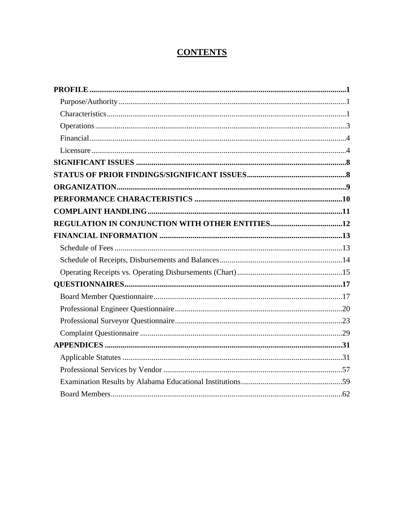## **CONTENTS**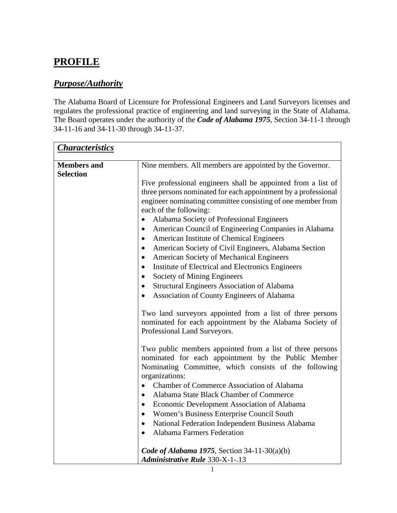## <span id="page-5-0"></span>**PROFILE**

## <span id="page-5-1"></span>*Purpose/Authority*

The Alabama Board of Licensure for Professional Engineers and Land Surveyors licenses and regulates the professional practice of engineering and land surveying in the State of Alabama. The Board operates under the authority of the *Code of Alabama 1975*, Section 34-11-1 through 34-11-16 and 34-11-30 through 34-11-37.

<span id="page-5-2"></span>

| <b>Characteristics</b> |                                                                                                                                                                                                                                                                                                                                                                                                                                                                                                                                                                                                                                                                                                                                                                                                                                                                                                                                                                                                                                                                                                                                                                                                                                                                      |
|------------------------|----------------------------------------------------------------------------------------------------------------------------------------------------------------------------------------------------------------------------------------------------------------------------------------------------------------------------------------------------------------------------------------------------------------------------------------------------------------------------------------------------------------------------------------------------------------------------------------------------------------------------------------------------------------------------------------------------------------------------------------------------------------------------------------------------------------------------------------------------------------------------------------------------------------------------------------------------------------------------------------------------------------------------------------------------------------------------------------------------------------------------------------------------------------------------------------------------------------------------------------------------------------------|
| <b>Members and</b>     | Nine members. All members are appointed by the Governor.                                                                                                                                                                                                                                                                                                                                                                                                                                                                                                                                                                                                                                                                                                                                                                                                                                                                                                                                                                                                                                                                                                                                                                                                             |
| <b>Selection</b>       | Five professional engineers shall be appointed from a list of<br>three persons nominated for each appointment by a professional<br>engineer nominating committee consisting of one member from<br>each of the following:<br>Alabama Society of Professional Engineers<br>$\bullet$<br>American Council of Engineering Companies in Alabama<br>$\bullet$<br>American Institute of Chemical Engineers<br>$\bullet$<br>American Society of Civil Engineers, Alabama Section<br>$\bullet$<br>American Society of Mechanical Engineers<br>$\bullet$<br>Institute of Electrical and Electronics Engineers<br>$\bullet$<br>Society of Mining Engineers<br>$\bullet$<br><b>Structural Engineers Association of Alabama</b><br>٠<br>Association of County Engineers of Alabama<br>$\bullet$<br>Two land surveyors appointed from a list of three persons<br>nominated for each appointment by the Alabama Society of<br>Professional Land Surveyors.<br>Two public members appointed from a list of three persons<br>nominated for each appointment by the Public Member<br>Nominating Committee, which consists of the following<br>organizations:<br><b>Chamber of Commerce Association of Alabama</b><br>$\bullet$<br>Alabama State Black Chamber of Commerce<br>$\bullet$ |
|                        | Economic Development Association of Alabama<br>$\bullet$<br>Women's Business Enterprise Council South                                                                                                                                                                                                                                                                                                                                                                                                                                                                                                                                                                                                                                                                                                                                                                                                                                                                                                                                                                                                                                                                                                                                                                |
|                        | National Federation Independent Business Alabama<br>٠<br>Alabama Farmers Federation<br>$\bullet$                                                                                                                                                                                                                                                                                                                                                                                                                                                                                                                                                                                                                                                                                                                                                                                                                                                                                                                                                                                                                                                                                                                                                                     |
|                        | Code of Alabama 1975, Section 34-11-30(a)(b)<br><b>Administrative Rule 330-X-1-.13</b>                                                                                                                                                                                                                                                                                                                                                                                                                                                                                                                                                                                                                                                                                                                                                                                                                                                                                                                                                                                                                                                                                                                                                                               |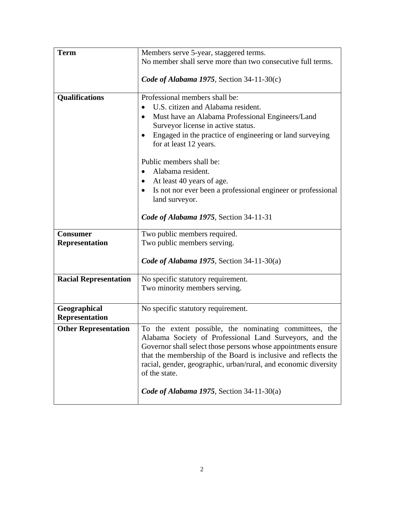| <b>Term</b>                  | Members serve 5-year, staggered terms.                          |
|------------------------------|-----------------------------------------------------------------|
|                              | No member shall serve more than two consecutive full terms.     |
|                              |                                                                 |
|                              | Code of Alabama 1975, Section 34-11-30(c)                       |
|                              |                                                                 |
| Qualifications               | Professional members shall be:                                  |
|                              | U.S. citizen and Alabama resident.                              |
|                              | Must have an Alabama Professional Engineers/Land<br>$\bullet$   |
|                              | Surveyor license in active status.                              |
|                              | Engaged in the practice of engineering or land surveying        |
|                              | for at least 12 years.                                          |
|                              | Public members shall be:                                        |
|                              | Alabama resident.                                               |
|                              | At least 40 years of age.                                       |
|                              | Is not nor ever been a professional engineer or professional    |
|                              | land surveyor.                                                  |
|                              |                                                                 |
|                              | Code of Alabama 1975, Section 34-11-31                          |
| <b>Consumer</b>              | Two public members required.                                    |
| <b>Representation</b>        | Two public members serving.                                     |
|                              |                                                                 |
|                              | Code of Alabama 1975, Section 34-11-30(a)                       |
| <b>Racial Representation</b> | No specific statutory requirement.                              |
|                              | Two minority members serving.                                   |
|                              |                                                                 |
| Geographical                 | No specific statutory requirement.                              |
| <b>Representation</b>        |                                                                 |
| <b>Other Representation</b>  | To the extent possible, the nominating committees, the          |
|                              | Alabama Society of Professional Land Surveyors, and the         |
|                              | Governor shall select those persons whose appointments ensure   |
|                              | that the membership of the Board is inclusive and reflects the  |
|                              | racial, gender, geographic, urban/rural, and economic diversity |
|                              | of the state.                                                   |
|                              |                                                                 |
|                              | Code of Alabama 1975, Section 34-11-30(a)                       |
|                              |                                                                 |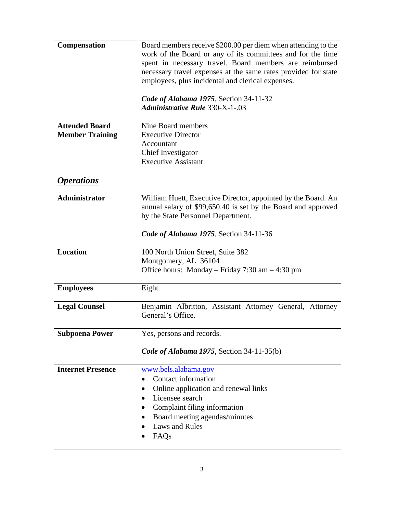<span id="page-7-0"></span>

| Compensation                                    | Board members receive \$200.00 per diem when attending to the<br>work of the Board or any of its committees and for the time<br>spent in necessary travel. Board members are reimbursed<br>necessary travel expenses at the same rates provided for state<br>employees, plus incidental and clerical expenses. |
|-------------------------------------------------|----------------------------------------------------------------------------------------------------------------------------------------------------------------------------------------------------------------------------------------------------------------------------------------------------------------|
|                                                 | Code of Alabama 1975, Section 34-11-32<br><b>Administrative Rule 330-X-1-.03</b>                                                                                                                                                                                                                               |
| <b>Attended Board</b><br><b>Member Training</b> | Nine Board members<br><b>Executive Director</b><br>Accountant<br>Chief Investigator<br><b>Executive Assistant</b>                                                                                                                                                                                              |
| <i><b>Operations</b></i>                        |                                                                                                                                                                                                                                                                                                                |
| <b>Administrator</b>                            | William Huett, Executive Director, appointed by the Board. An<br>annual salary of \$99,650.40 is set by the Board and approved<br>by the State Personnel Department.                                                                                                                                           |
|                                                 | Code of Alabama 1975, Section 34-11-36                                                                                                                                                                                                                                                                         |
| <b>Location</b>                                 | 100 North Union Street, Suite 382<br>Montgomery, AL 36104<br>Office hours: Monday – Friday $7:30$ am – 4:30 pm                                                                                                                                                                                                 |
| <b>Employees</b>                                | Eight                                                                                                                                                                                                                                                                                                          |
| <b>Legal Counsel</b>                            | Benjamin Albritton, Assistant Attorney General, Attorney<br>General's Office.                                                                                                                                                                                                                                  |
| <b>Subpoena Power</b>                           | Yes, persons and records.<br>Code of Alabama 1975, Section 34-11-35(b)                                                                                                                                                                                                                                         |
| <b>Internet Presence</b>                        | www.bels.alabama.gov<br>Contact information<br>Online application and renewal links<br>Licensee search<br>Complaint filing information<br>Board meeting agendas/minutes<br><b>Laws and Rules</b><br>FAQ <sub>s</sub>                                                                                           |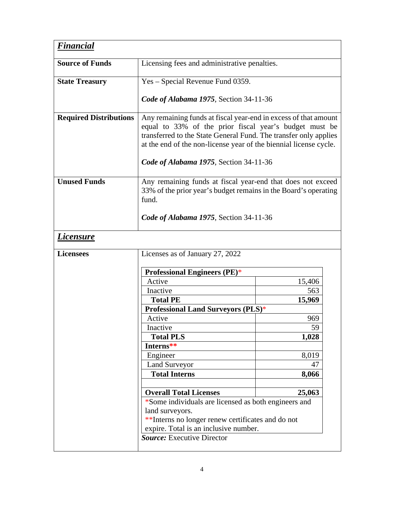<span id="page-8-1"></span><span id="page-8-0"></span>

| <b>Financial</b>              |                                                                                                                                                                                                                                                                                                              |        |  |
|-------------------------------|--------------------------------------------------------------------------------------------------------------------------------------------------------------------------------------------------------------------------------------------------------------------------------------------------------------|--------|--|
| <b>Source of Funds</b>        | Licensing fees and administrative penalties.                                                                                                                                                                                                                                                                 |        |  |
| <b>State Treasury</b>         | Yes – Special Revenue Fund 0359.                                                                                                                                                                                                                                                                             |        |  |
|                               | Code of Alabama 1975, Section 34-11-36                                                                                                                                                                                                                                                                       |        |  |
| <b>Required Distributions</b> | Any remaining funds at fiscal year-end in excess of that amount<br>equal to 33% of the prior fiscal year's budget must be<br>transferred to the State General Fund. The transfer only applies<br>at the end of the non-license year of the biennial license cycle.<br>Code of Alabama 1975, Section 34-11-36 |        |  |
| <b>Unused Funds</b>           | Any remaining funds at fiscal year-end that does not exceed<br>33% of the prior year's budget remains in the Board's operating<br>fund.                                                                                                                                                                      |        |  |
|                               | Code of Alabama 1975, Section 34-11-36                                                                                                                                                                                                                                                                       |        |  |
| <u>Licensure</u>              |                                                                                                                                                                                                                                                                                                              |        |  |
| <b>Licensees</b>              | Licenses as of January 27, 2022                                                                                                                                                                                                                                                                              |        |  |
|                               | <b>Professional Engineers (PE)*</b>                                                                                                                                                                                                                                                                          |        |  |
|                               | Active                                                                                                                                                                                                                                                                                                       | 15,406 |  |
|                               | Inactive                                                                                                                                                                                                                                                                                                     | 563    |  |
|                               | <b>Total PE</b>                                                                                                                                                                                                                                                                                              | 15,969 |  |
|                               | <b>Professional Land Surveyors (PLS)*</b>                                                                                                                                                                                                                                                                    |        |  |
|                               | Active                                                                                                                                                                                                                                                                                                       | 969    |  |
|                               | Inactive                                                                                                                                                                                                                                                                                                     | 59     |  |
|                               | <b>Total PLS</b>                                                                                                                                                                                                                                                                                             | 1,028  |  |
|                               | Interns**                                                                                                                                                                                                                                                                                                    |        |  |
|                               | Engineer                                                                                                                                                                                                                                                                                                     | 8,019  |  |
|                               | <b>Land Surveyor</b>                                                                                                                                                                                                                                                                                         | 47     |  |
|                               | <b>Total Interns</b>                                                                                                                                                                                                                                                                                         | 8,066  |  |
|                               |                                                                                                                                                                                                                                                                                                              |        |  |
|                               | <b>Overall Total Licenses</b><br>25,063                                                                                                                                                                                                                                                                      |        |  |
|                               | *Some individuals are licensed as both engineers and<br>land surveyors.<br>** Interns no longer renew certificates and do not<br>expire. Total is an inclusive number.                                                                                                                                       |        |  |
|                               | <b>Source:</b> Executive Director                                                                                                                                                                                                                                                                            |        |  |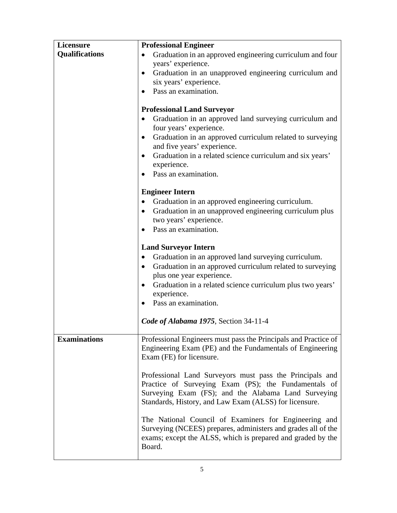| Licensure             | <b>Professional Engineer</b>                                                                          |
|-----------------------|-------------------------------------------------------------------------------------------------------|
| <b>Qualifications</b> | Graduation in an approved engineering curriculum and four                                             |
|                       | years' experience.                                                                                    |
|                       | Graduation in an unapproved engineering curriculum and<br>$\bullet$                                   |
|                       | six years' experience.                                                                                |
|                       | Pass an examination.                                                                                  |
|                       |                                                                                                       |
|                       | <b>Professional Land Surveyor</b>                                                                     |
|                       | Graduation in an approved land surveying curriculum and<br>four years' experience.                    |
|                       | Graduation in an approved curriculum related to surveying<br>$\bullet$<br>and five years' experience. |
|                       | Graduation in a related science curriculum and six years'<br>experience.                              |
|                       | Pass an examination.                                                                                  |
|                       |                                                                                                       |
|                       | <b>Engineer Intern</b>                                                                                |
|                       | Graduation in an approved engineering curriculum.<br>$\bullet$                                        |
|                       | Graduation in an unapproved engineering curriculum plus                                               |
|                       | two years' experience.                                                                                |
|                       | Pass an examination.                                                                                  |
|                       |                                                                                                       |
|                       | <b>Land Surveyor Intern</b>                                                                           |
|                       | Graduation in an approved land surveying curriculum.                                                  |
|                       | Graduation in an approved curriculum related to surveying<br>$\bullet$                                |
|                       | plus one year experience.                                                                             |
|                       | Graduation in a related science curriculum plus two years'                                            |
|                       | experience.                                                                                           |
|                       | Pass an examination.                                                                                  |
|                       |                                                                                                       |
|                       | Code of Alabama 1975, Section 34-11-4                                                                 |
| <b>Examinations</b>   | Professional Engineers must pass the Principals and Practice of                                       |
|                       | Engineering Exam (PE) and the Fundamentals of Engineering<br>Exam (FE) for licensure.                 |
|                       |                                                                                                       |
|                       | Professional Land Surveyors must pass the Principals and                                              |
|                       | Practice of Surveying Exam (PS); the Fundamentals of                                                  |
|                       | Surveying Exam (FS); and the Alabama Land Surveying                                                   |
|                       | Standards, History, and Law Exam (ALSS) for licensure.                                                |
|                       | The National Council of Examiners for Engineering and                                                 |
|                       | Surveying (NCEES) prepares, administers and grades all of the                                         |
|                       | exams; except the ALSS, which is prepared and graded by the                                           |
|                       | Board.                                                                                                |
|                       |                                                                                                       |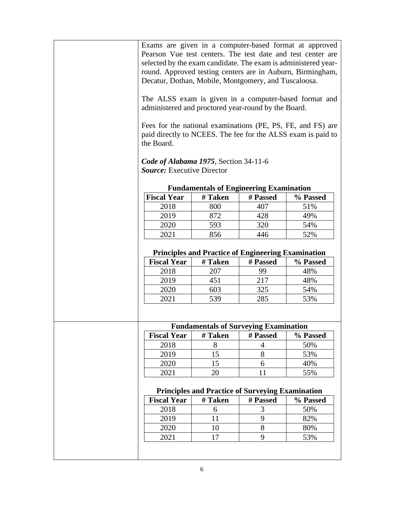|                                                                                                                              |                                                         |          | Exams are given in a computer-based format at approved       |
|------------------------------------------------------------------------------------------------------------------------------|---------------------------------------------------------|----------|--------------------------------------------------------------|
|                                                                                                                              |                                                         |          | Pearson Vue test centers. The test date and test center are  |
| selected by the exam candidate. The exam is administered year-<br>round. Approved testing centers are in Auburn, Birmingham, |                                                         |          |                                                              |
|                                                                                                                              |                                                         |          |                                                              |
| Decatur, Dothan, Mobile, Montgomery, and Tuscaloosa.                                                                         |                                                         |          |                                                              |
|                                                                                                                              |                                                         |          | The ALSS exam is given in a computer-based format and        |
| administered and proctored year-round by the Board.                                                                          |                                                         |          |                                                              |
|                                                                                                                              |                                                         |          | Fees for the national examinations (PE, PS, FE, and FS) are  |
|                                                                                                                              |                                                         |          | paid directly to NCEES. The fee for the ALSS exam is paid to |
| the Board.                                                                                                                   |                                                         |          |                                                              |
|                                                                                                                              |                                                         |          |                                                              |
| Code of Alabama 1975, Section 34-11-6                                                                                        |                                                         |          |                                                              |
| <b>Source:</b> Executive Director                                                                                            |                                                         |          |                                                              |
|                                                                                                                              | <b>Fundamentals of Engineering Examination</b>          |          |                                                              |
| <b>Fiscal Year</b>                                                                                                           | # Taken                                                 | # Passed | % Passed                                                     |
| 2018                                                                                                                         | 800                                                     | 407      | 51%                                                          |
| 2019                                                                                                                         | 872                                                     | 428      | 49%                                                          |
| 2020                                                                                                                         | 593                                                     | 320      | 54%                                                          |
| 2021                                                                                                                         | 856                                                     | 446      | 52%                                                          |
|                                                                                                                              |                                                         |          |                                                              |
| <b>Principles and Practice of Engineering Examination</b>                                                                    |                                                         |          |                                                              |
| <b>Fiscal Year</b>                                                                                                           | # Taken                                                 | # Passed | % Passed                                                     |
| 2018                                                                                                                         | 207                                                     | 99       | 48%                                                          |
| 2019                                                                                                                         | 451                                                     | 217      | 48%                                                          |
| 2020                                                                                                                         | 603                                                     | 325      | 54%                                                          |
| 2021                                                                                                                         | 539                                                     | 285      | 53%                                                          |
|                                                                                                                              |                                                         |          |                                                              |
|                                                                                                                              |                                                         |          |                                                              |
|                                                                                                                              | <b>Fundamentals of Surveying Examination</b>            |          |                                                              |
| <b>Fiscal Year</b>                                                                                                           | # Taken                                                 | # Passed | % Passed                                                     |
| 2018                                                                                                                         | 8                                                       | 4        | 50%                                                          |
| 2019                                                                                                                         | 15                                                      | 8        | 53%                                                          |
| 2020                                                                                                                         | 15                                                      | 6        | 40%                                                          |
| 2021                                                                                                                         | 20                                                      | 11       | 55%                                                          |
|                                                                                                                              |                                                         |          |                                                              |
|                                                                                                                              | <b>Principles and Practice of Surveying Examination</b> |          |                                                              |
| <b>Fiscal Year</b>                                                                                                           | # Taken                                                 | # Passed | % Passed                                                     |
| 2018                                                                                                                         | 6                                                       | 3        | 50%                                                          |
| 2019                                                                                                                         | 11                                                      | 9        | 82%                                                          |
|                                                                                                                              |                                                         | 8        | 80%                                                          |
| 2020                                                                                                                         | 10                                                      |          |                                                              |
| 2021                                                                                                                         | 17                                                      | 9        | 53%                                                          |
|                                                                                                                              |                                                         |          |                                                              |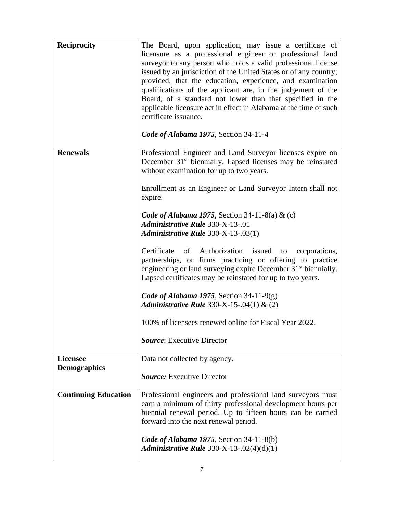| <b>Reciprocity</b>          | The Board, upon application, may issue a certificate of<br>licensure as a professional engineer or professional land<br>surveyor to any person who holds a valid professional license<br>issued by an jurisdiction of the United States or of any country;<br>provided, that the education, experience, and examination<br>qualifications of the applicant are, in the judgement of the<br>Board, of a standard not lower than that specified in the<br>applicable licensure act in effect in Alabama at the time of such<br>certificate issuance.<br>Code of Alabama 1975, Section 34-11-4 |
|-----------------------------|---------------------------------------------------------------------------------------------------------------------------------------------------------------------------------------------------------------------------------------------------------------------------------------------------------------------------------------------------------------------------------------------------------------------------------------------------------------------------------------------------------------------------------------------------------------------------------------------|
| <b>Renewals</b>             | Professional Engineer and Land Surveyor licenses expire on<br>December 31 <sup>st</sup> biennially. Lapsed licenses may be reinstated<br>without examination for up to two years.                                                                                                                                                                                                                                                                                                                                                                                                           |
|                             | Enrollment as an Engineer or Land Surveyor Intern shall not<br>expire.                                                                                                                                                                                                                                                                                                                                                                                                                                                                                                                      |
|                             | Code of Alabama 1975, Section 34-11-8(a) & (c)<br><b>Administrative Rule 330-X-13-.01</b><br>Administrative Rule 330-X-13-.03(1)                                                                                                                                                                                                                                                                                                                                                                                                                                                            |
|                             | Certificate of Authorization issued to corporations,<br>partnerships, or firms practicing or offering to practice<br>engineering or land surveying expire December 31 <sup>st</sup> biennially.<br>Lapsed certificates may be reinstated for up to two years.                                                                                                                                                                                                                                                                                                                               |
|                             | Code of Alabama 1975, Section 34-11-9(g)<br><i>Administrative Rule</i> 330-X-15-.04(1) & (2)                                                                                                                                                                                                                                                                                                                                                                                                                                                                                                |
|                             | 100% of licensees renewed online for Fiscal Year 2022.                                                                                                                                                                                                                                                                                                                                                                                                                                                                                                                                      |
|                             | <b>Source:</b> Executive Director                                                                                                                                                                                                                                                                                                                                                                                                                                                                                                                                                           |
| <b>Licensee</b>             | Data not collected by agency.                                                                                                                                                                                                                                                                                                                                                                                                                                                                                                                                                               |
| <b>Demographics</b>         | <b>Source:</b> Executive Director                                                                                                                                                                                                                                                                                                                                                                                                                                                                                                                                                           |
| <b>Continuing Education</b> | Professional engineers and professional land surveyors must<br>earn a minimum of thirty professional development hours per<br>biennial renewal period. Up to fifteen hours can be carried<br>forward into the next renewal period.                                                                                                                                                                                                                                                                                                                                                          |
|                             | Code of Alabama 1975, Section 34-11-8(b)<br><i>Administrative Rule</i> 330-X-13-.02(4)(d)(1)                                                                                                                                                                                                                                                                                                                                                                                                                                                                                                |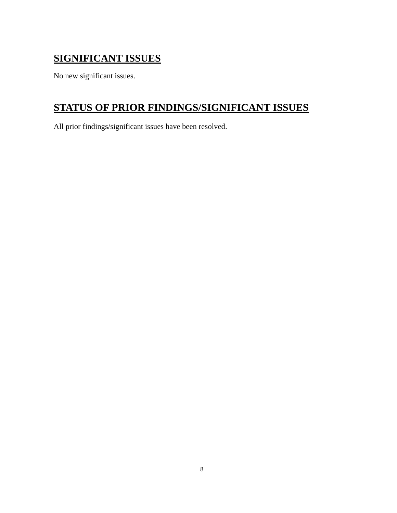## <span id="page-12-0"></span>**SIGNIFICANT ISSUES**

No new significant issues.

## <span id="page-12-1"></span>**STATUS OF PRIOR FINDINGS/SIGNIFICANT ISSUES**

All prior findings/significant issues have been resolved.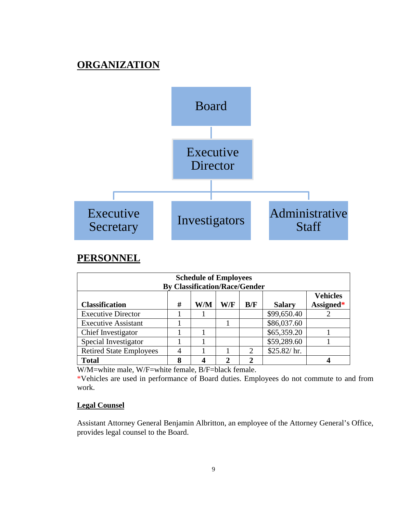## **ORGANIZATION**

<span id="page-13-0"></span>

## **PERSONNEL**

| <b>Schedule of Employees</b><br><b>By Classification/Race/Gender</b>                             |   |   |               |              |             |   |
|--------------------------------------------------------------------------------------------------|---|---|---------------|--------------|-------------|---|
| <b>Vehicles</b><br>Assigned*<br>#<br><b>Classification</b><br>W/M<br>W/F<br>B/F<br><b>Salary</b> |   |   |               |              |             |   |
| <b>Executive Director</b>                                                                        |   |   |               |              | \$99,650.40 |   |
| <b>Executive Assistant</b>                                                                       |   |   |               |              | \$86,037.60 |   |
| Chief Investigator                                                                               |   |   |               |              | \$65,359.20 |   |
| Special Investigator                                                                             |   |   |               |              | \$59,289.60 |   |
| <b>Retired State Employees</b>                                                                   |   |   |               | 2            | \$25.82/hr. |   |
| <b>Total</b>                                                                                     | 8 | 4 | $\mathcal{D}$ | $\mathbf{2}$ |             | 4 |

W/M=white male, W/F=white female, B/F=black female.

\*Vehicles are used in performance of Board duties. Employees do not commute to and from work.

### **Legal Counsel**

Assistant Attorney General Benjamin Albritton, an employee of the Attorney General's Office, provides legal counsel to the Board.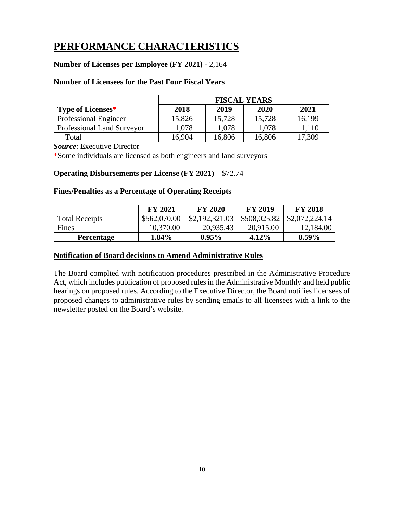## <span id="page-14-0"></span>**PERFORMANCE CHARACTERISTICS**

## **Number of Licenses per Employee (FY 2021)** - 2,164

## **Number of Licensees for the Past Four Fiscal Years**

|                              | <b>FISCAL YEARS</b> |        |        |        |
|------------------------------|---------------------|--------|--------|--------|
| Type of Licenses*            | 2018                | 2019   | 2020   | 2021   |
| <b>Professional Engineer</b> | 15,826              | 15,728 | 15,728 | 16,199 |
| Professional Land Surveyor   | 1,078               | 1,078  | 1,078  | 1,110  |
| Total                        | 16,904              | 16,806 | 16,806 | 7,309  |

*Source*: Executive Director

\*Some individuals are licensed as both engineers and land surveyors

## **Operating Disbursements per License (FY 2021)** – \$72.74

## **Fines/Penalties as a Percentage of Operating Receipts**

|                       | <b>FY 2021</b> | <b>FY 2020</b> | <b>FY 2019</b> | <b>FY 2018</b> |
|-----------------------|----------------|----------------|----------------|----------------|
| <b>Total Receipts</b> | \$562,070.00   | \$2,192,321.03 | \$508,025.82   | \$2,072,224.14 |
| Fines                 | 10,370.00      | 20,935.43      | 20,915.00      | 12,184.00      |
| <b>Percentage</b>     | $1.84\%$       | $0.95\%$       | 4.12%          | $0.59\%$       |

## **Notification of Board decisions to Amend Administrative Rules**

The Board complied with notification procedures prescribed in the Administrative Procedure Act, which includes publication of proposed rules in the Administrative Monthly and held public hearings on proposed rules. According to the Executive Director, the Board notifies licensees of proposed changes to administrative rules by sending emails to all licensees with a link to the newsletter posted on the Board's website.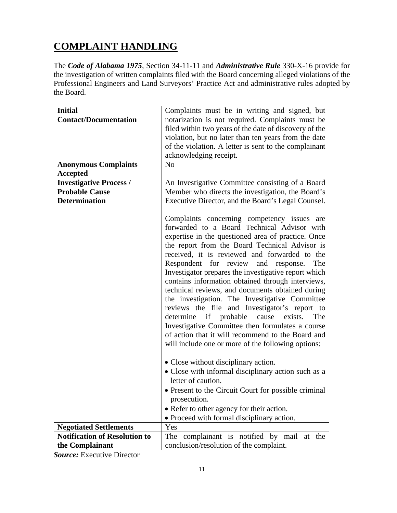## <span id="page-15-0"></span>**COMPLAINT HANDLING**

The *Code of Alabama 1975*, Section 34-11-11 and *Administrative Rule* 330-X-16 provide for the investigation of written complaints filed with the Board concerning alleged violations of the Professional Engineers and Land Surveyors' Practice Act and administrative rules adopted by the Board.

| <b>Initial</b>                       | Complaints must be in writing and signed, but                                                                                                                                                                                                                                                                                                                                                                                                                                                                                                                                                                                                                                                                                                                                      |
|--------------------------------------|------------------------------------------------------------------------------------------------------------------------------------------------------------------------------------------------------------------------------------------------------------------------------------------------------------------------------------------------------------------------------------------------------------------------------------------------------------------------------------------------------------------------------------------------------------------------------------------------------------------------------------------------------------------------------------------------------------------------------------------------------------------------------------|
| <b>Contact/Documentation</b>         | notarization is not required. Complaints must be                                                                                                                                                                                                                                                                                                                                                                                                                                                                                                                                                                                                                                                                                                                                   |
|                                      | filed within two years of the date of discovery of the                                                                                                                                                                                                                                                                                                                                                                                                                                                                                                                                                                                                                                                                                                                             |
|                                      | violation, but no later than ten years from the date                                                                                                                                                                                                                                                                                                                                                                                                                                                                                                                                                                                                                                                                                                                               |
|                                      | of the violation. A letter is sent to the complainant                                                                                                                                                                                                                                                                                                                                                                                                                                                                                                                                                                                                                                                                                                                              |
|                                      | acknowledging receipt.                                                                                                                                                                                                                                                                                                                                                                                                                                                                                                                                                                                                                                                                                                                                                             |
| <b>Anonymous Complaints</b>          | N <sub>o</sub>                                                                                                                                                                                                                                                                                                                                                                                                                                                                                                                                                                                                                                                                                                                                                                     |
| <b>Accepted</b>                      |                                                                                                                                                                                                                                                                                                                                                                                                                                                                                                                                                                                                                                                                                                                                                                                    |
| <b>Investigative Process /</b>       | An Investigative Committee consisting of a Board                                                                                                                                                                                                                                                                                                                                                                                                                                                                                                                                                                                                                                                                                                                                   |
| <b>Probable Cause</b>                | Member who directs the investigation, the Board's                                                                                                                                                                                                                                                                                                                                                                                                                                                                                                                                                                                                                                                                                                                                  |
| <b>Determination</b>                 | Executive Director, and the Board's Legal Counsel.                                                                                                                                                                                                                                                                                                                                                                                                                                                                                                                                                                                                                                                                                                                                 |
|                                      |                                                                                                                                                                                                                                                                                                                                                                                                                                                                                                                                                                                                                                                                                                                                                                                    |
|                                      | Complaints concerning competency issues are<br>forwarded to a Board Technical Advisor with<br>expertise in the questioned area of practice. Once<br>the report from the Board Technical Advisor is<br>received, it is reviewed and forwarded to the<br>Respondent for review and response.<br>The<br>Investigator prepares the investigative report which<br>contains information obtained through interviews,<br>technical reviews, and documents obtained during<br>the investigation. The Investigative Committee<br>reviews the file and Investigator's report to<br>determine if probable cause exists.<br>The<br>Investigative Committee then formulates a course<br>of action that it will recommend to the Board and<br>will include one or more of the following options: |
|                                      | • Close without disciplinary action.                                                                                                                                                                                                                                                                                                                                                                                                                                                                                                                                                                                                                                                                                                                                               |
|                                      | • Close with informal disciplinary action such as a<br>letter of caution.                                                                                                                                                                                                                                                                                                                                                                                                                                                                                                                                                                                                                                                                                                          |
|                                      | • Present to the Circuit Court for possible criminal                                                                                                                                                                                                                                                                                                                                                                                                                                                                                                                                                                                                                                                                                                                               |
|                                      | prosecution.                                                                                                                                                                                                                                                                                                                                                                                                                                                                                                                                                                                                                                                                                                                                                                       |
|                                      | • Refer to other agency for their action.                                                                                                                                                                                                                                                                                                                                                                                                                                                                                                                                                                                                                                                                                                                                          |
|                                      | • Proceed with formal disciplinary action.                                                                                                                                                                                                                                                                                                                                                                                                                                                                                                                                                                                                                                                                                                                                         |
| <b>Negotiated Settlements</b>        | Yes                                                                                                                                                                                                                                                                                                                                                                                                                                                                                                                                                                                                                                                                                                                                                                                |
| <b>Notification of Resolution to</b> | The complainant is notified by mail<br>at the                                                                                                                                                                                                                                                                                                                                                                                                                                                                                                                                                                                                                                                                                                                                      |
| the Complainant                      | conclusion/resolution of the complaint.                                                                                                                                                                                                                                                                                                                                                                                                                                                                                                                                                                                                                                                                                                                                            |

*Source:* Executive Director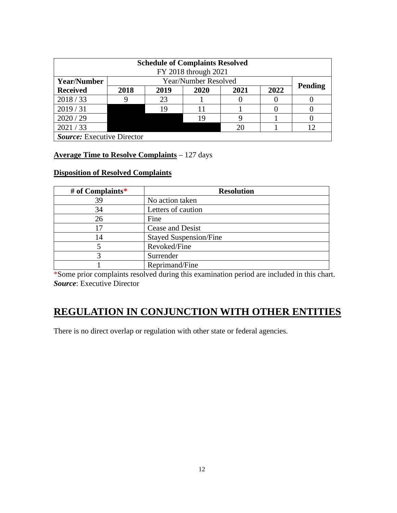| <b>Schedule of Complaints Resolved</b> |                                      |    |                      |    |  |                |
|----------------------------------------|--------------------------------------|----|----------------------|----|--|----------------|
|                                        |                                      |    | FY 2018 through 2021 |    |  |                |
| <b>Year/Number</b>                     | Year/Number Resolved                 |    |                      |    |  |                |
| <b>Received</b>                        | 2022<br>2018<br>2019<br>2021<br>2020 |    |                      |    |  | <b>Pending</b> |
| 2018/33                                |                                      | 23 |                      |    |  |                |
| 2019/31                                |                                      | 19 |                      |    |  |                |
| 2020 / 29                              |                                      |    | 19                   |    |  |                |
| 2021 / 33                              |                                      |    |                      | 20 |  | ∣າ             |
| <b>Source:</b> Executive Director      |                                      |    |                      |    |  |                |

## **Average Time to Resolve Complaints** – 127 days

## **Disposition of Resolved Complaints**

| # of Complaints* | <b>Resolution</b>             |
|------------------|-------------------------------|
| 39               | No action taken               |
| 34               | Letters of caution            |
| 26               | Fine                          |
| 17               | Cease and Desist              |
| 14               | <b>Stayed Suspension/Fine</b> |
|                  | Revoked/Fine                  |
|                  | Surrender                     |
|                  | Reprimand/Fine                |

\*Some prior complaints resolved during this examination period are included in this chart. *Source*: Executive Director

## <span id="page-16-0"></span>**REGULATION IN CONJUNCTION WITH OTHER ENTITIES**

There is no direct overlap or regulation with other state or federal agencies.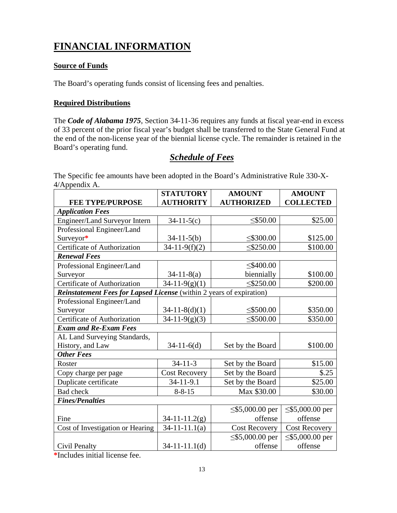## <span id="page-17-0"></span>**FINANCIAL INFORMATION**

## **Source of Funds**

The Board's operating funds consist of licensing fees and penalties.

## **Required Distributions**

The *Code of Alabama 1975*, Section 34-11-36 requires any funds at fiscal year-end in excess of 33 percent of the prior fiscal year's budget shall be transferred to the State General Fund at the end of the non-license year of the biennial license cycle. The remainder is retained in the Board's operating fund.

## *Schedule of Fees*

<span id="page-17-1"></span>The Specific fee amounts have been adopted in the Board's Administrative Rule 330-X-4/Appendix A.

|                                                                      | <b>STATUTORY</b>     | <b>AMOUNT</b>         | <b>AMOUNT</b>         |
|----------------------------------------------------------------------|----------------------|-----------------------|-----------------------|
| <b>FEE TYPE/PURPOSE</b>                                              | <b>AUTHORITY</b>     | <b>AUTHORIZED</b>     | <b>COLLECTED</b>      |
| <b>Application Fees</b>                                              |                      |                       |                       |
| Engineer/Land Surveyor Intern                                        | $34-11-5(c)$         | $<$ \$50.00           | \$25.00               |
| Professional Engineer/Land                                           |                      |                       |                       |
| Surveyor*                                                            | $34-11-5(b)$         | $\leq$ \$300.00       | \$125.00              |
| Certificate of Authorization                                         | $34-11-9(f)(2)$      | $\leq$ \$250.00       | \$100.00              |
| <b>Renewal Fees</b>                                                  |                      |                       |                       |
| Professional Engineer/Land                                           |                      | $≤$ \$400.00          |                       |
| Surveyor                                                             | $34-11-8(a)$         | biennially            | \$100.00              |
| Certificate of Authorization                                         | $34-11-9(g)(1)$      | $≤$ \$250.00          | \$200.00              |
| Reinstatement Fees for Lapsed License (within 2 years of expiration) |                      |                       |                       |
| Professional Engineer/Land                                           |                      |                       |                       |
| Surveyor                                                             | $34-11-8(d)(1)$      | $≤$ \$500.00          | \$350.00              |
| Certificate of Authorization                                         | $34-11-9(g)(3)$      | $<$ \$500.00          | \$350.00              |
| <b>Exam and Re-Exam Fees</b>                                         |                      |                       |                       |
| AL Land Surveying Standards,                                         |                      |                       |                       |
| History, and Law                                                     | $34-11-6(d)$         | Set by the Board      | \$100.00              |
| <b>Other Fees</b>                                                    |                      |                       |                       |
| Roster                                                               | $34 - 11 - 3$        | Set by the Board      | \$15.00               |
| Copy charge per page                                                 | <b>Cost Recovery</b> | Set by the Board      | \$.25                 |
| Duplicate certificate                                                | 34-11-9.1            | Set by the Board      | \$25.00               |
| <b>Bad</b> check                                                     | $8 - 8 - 15$         | Max \$30.00           | \$30.00               |
| <b>Fines/Penalties</b>                                               |                      |                       |                       |
|                                                                      |                      | $\leq$ \$5,000.00 per | $\leq$ \$5,000.00 per |
| Fine                                                                 | $34 - 11 - 11.2(g)$  | offense               | offense               |
| Cost of Investigation or Hearing                                     | $34-11-11.1(a)$      | <b>Cost Recovery</b>  | <b>Cost Recovery</b>  |
|                                                                      |                      | $\leq$ \$5,000.00 per | $\leq$ \$5,000.00 per |
| Civil Penalty                                                        | $34-11-11.1(d)$      | offense               | offense               |

**\***Includes initial license fee.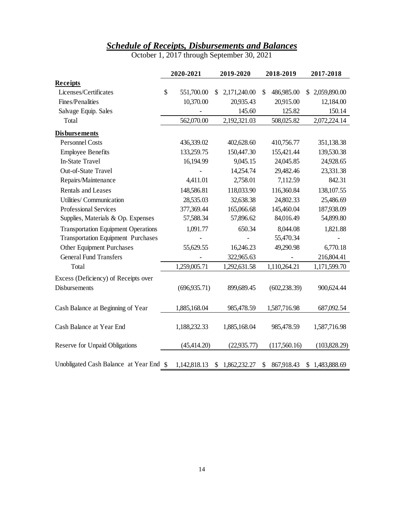## *Schedule of Receipts, Disbursements and Balances*

October 1, 2017 through September 30, 2021

<span id="page-18-0"></span>

|                                            | 2020-2021        | 2019-2020          | 2018-2019        | 2017-2018          |
|--------------------------------------------|------------------|--------------------|------------------|--------------------|
| Receipts                                   |                  |                    |                  |                    |
| Licenses/Certificates                      | \$<br>551,700.00 | 2,171,240.00<br>\$ | \$<br>486,985.00 | 2,059,890.00<br>S. |
| Fines/Penalities                           | 10,370.00        | 20,935.43          | 20,915.00        | 12,184.00          |
| Salvage Equip. Sales                       |                  | 145.60             | 125.82           | 150.14             |
| Total                                      | 562,070.00       | 2,192,321.03       | 508,025.82       | 2,072,224.14       |
| <b>Disbursements</b>                       |                  |                    |                  |                    |
| <b>Personnel Costs</b>                     | 436,339.02       | 402,628.60         | 410,756.77       | 351,138.38         |
| <b>Employee Benefits</b>                   | 133,259.75       | 150,447.30         | 155,421.44       | 139,530.38         |
| <b>In-State Travel</b>                     | 16,194.99        | 9,045.15           | 24,045.85        | 24,928.65          |
| Out-of-State Travel                        |                  | 14,254.74          | 29,482.46        | 23,331.38          |
| Repairs/Maintenance                        | 4,411.01         | 2,758.01           | 7,112.59         | 842.31             |
| <b>Rentals and Leases</b>                  | 148,586.81       | 118,033.90         | 116,360.84       | 138, 107.55        |
| Utilities/Communication                    | 28,535.03        | 32,638.38          | 24,802.33        | 25,486.69          |
| <b>Professional Services</b>               | 377,369.44       | 165,066.68         | 145,460.04       | 187,938.09         |
| Supplies, Materials & Op. Expenses         | 57,588.34        | 57,896.62          | 84,016.49        | 54,899.80          |
| <b>Transportation Equipment Operations</b> | 1,091.77         | 650.34             | 8,044.08         | 1,821.88           |
| <b>Transportation Equipment Purchases</b>  |                  |                    | 55,470.34        |                    |
| Other Equipment Purchases                  | 55,629.55        | 16,246.23          | 49,290.98        | 6,770.18           |
| <b>General Fund Transfers</b>              |                  | 322,965.63         |                  | 216,804.41         |
| Total                                      | 1,259,005.71     | 1,292,631.58       | 1,110,264.21     | 1,171,599.70       |
| Excess (Deficiency) of Receipts over       |                  |                    |                  |                    |
| <b>Disbursements</b>                       | (696, 935.71)    | 899,689.45         | (602, 238.39)    | 900,624.44         |
|                                            |                  |                    |                  |                    |
| Cash Balance at Beginning of Year          | 1,885,168.04     | 985,478.59         | 1,587,716.98     | 687,092.54         |
| Cash Balance at Year End                   | 1,188,232.33     | 1,885,168.04       | 985,478.59       | 1,587,716.98       |
| Reserve for Unpaid Obligations             | (45, 414.20)     | (22, 935.77)       | (117,560.16)     | (103,828.29)       |
| Unobligated Cash Balance at Year End \$    | 1,142,818.13     | 1,862,232.27<br>\$ | 867,918.43<br>\$ | \$1,483,888.69     |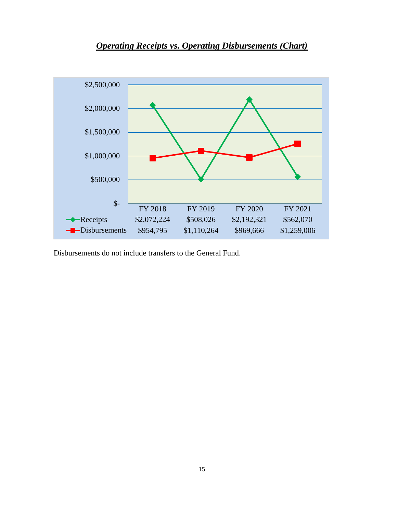<span id="page-19-0"></span>

*Operating Receipts vs. Operating Disbursements (Chart)*

Disbursements do not include transfers to the General Fund.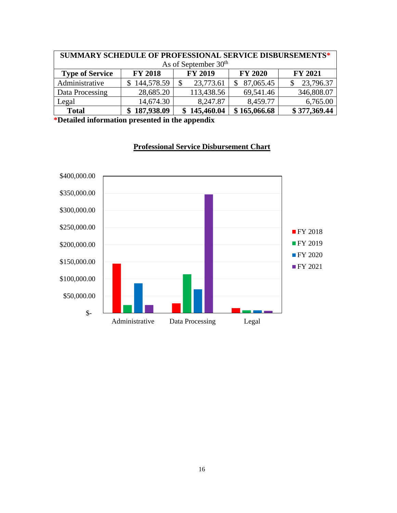| SUMMARY SCHEDULE OF PROFESSIONAL SERVICE DISBURSEMENTS* |                                  |                |                |                |  |
|---------------------------------------------------------|----------------------------------|----------------|----------------|----------------|--|
|                                                         | As of September 30 <sup>th</sup> |                |                |                |  |
| <b>Type of Service</b>                                  | <b>FY 2018</b>                   | <b>FY 2019</b> | <b>FY 2020</b> | <b>FY 2021</b> |  |
| Administrative                                          | 144,578.59                       | 23,773.61      | 87,065.45      | 23,796.37      |  |
| Data Processing                                         | 28,685.20                        | 113,438.56     | 69,541.46      | 346,808.07     |  |
| Legal                                                   | 14,674.30                        | 8,247.87       | 8,459.77       | 6,765.00       |  |
| <b>Total</b>                                            | \$187,938.09                     | 145,460.04     | \$165,066.68   | \$377,369.44   |  |

**\*Detailed information presented in the appendix**



## **Professional Service Disbursement Chart**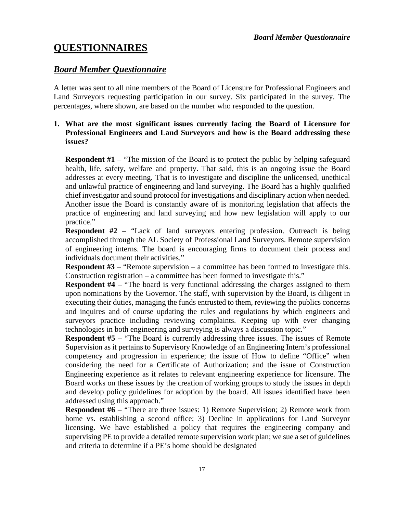## <span id="page-21-0"></span>**QUESTIONNAIRES**

## <span id="page-21-1"></span>*Board Member Questionnaire*

A letter was sent to all nine members of the Board of Licensure for Professional Engineers and Land Surveyors requesting participation in our survey. Six participated in the survey. The percentages, where shown, are based on the number who responded to the question.

## **1. What are the most significant issues currently facing the Board of Licensure for Professional Engineers and Land Surveyors and how is the Board addressing these issues?**

**Respondent #1** – "The mission of the Board is to protect the public by helping safeguard health, life, safety, welfare and property. That said, this is an ongoing issue the Board addresses at every meeting. That is to investigate and discipline the unlicensed, unethical and unlawful practice of engineering and land surveying. The Board has a highly qualified chief investigator and sound protocol for investigations and disciplinary action when needed. Another issue the Board is constantly aware of is monitoring legislation that affects the practice of engineering and land surveying and how new legislation will apply to our practice."

**Respondent #2** – "Lack of land surveyors entering profession. Outreach is being accomplished through the AL Society of Professional Land Surveyors. Remote supervision of engineering interns. The board is encouraging firms to document their process and individuals document their activities."

**Respondent #3** – "Remote supervision – a committee has been formed to investigate this. Construction registration – a committee has been formed to investigate this."

**Respondent #4** – "The board is very functional addressing the charges assigned to them upon nominations by the Governor. The staff, with supervision by the Board, is diligent in executing their duties, managing the funds entrusted to them, reviewing the publics concerns and inquires and of course updating the rules and regulations by which engineers and surveyors practice including reviewing complaints. Keeping up with ever changing technologies in both engineering and surveying is always a discussion topic."

**Respondent #5** – "The Board is currently addressing three issues. The issues of Remote Supervision as it pertains to Supervisory Knowledge of an Engineering Intern's professional competency and progression in experience; the issue of How to define "Office" when considering the need for a Certificate of Authorization; and the issue of Construction Engineering experience as it relates to relevant engineering experience for licensure. The Board works on these issues by the creation of working groups to study the issues in depth and develop policy guidelines for adoption by the board. All issues identified have been addressed using this approach."

**Respondent #6** – "There are three issues: 1) Remote Supervision; 2) Remote work from home vs. establishing a second office; 3) Decline in applications for Land Surveyor licensing. We have established a policy that requires the engineering company and supervising PE to provide a detailed remote supervision work plan; we sue a set of guidelines and criteria to determine if a PE's home should be designated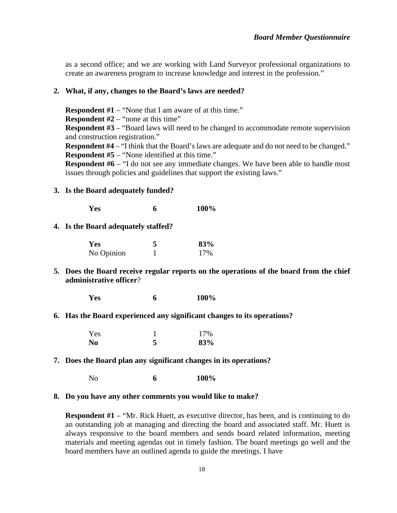as a second office; and we are working with Land Surveyor professional organizations to create an awareness program to increase knowledge and interest in the profession."

#### **2. What, if any, changes to the Board's laws are needed?**

**Respondent #1** – "None that I am aware of at this time."

**Respondent #2** – "none at this time"

**Respondent #3** – "Board laws will need to be changed to accommodate remote supervision and construction registration."

**Respondent #4** – "I think that the Board's laws are adequate and do not need to be changed." **Respondent #5** – "None identified at this time."

**Respondent #6** – "I do not see any immediate changes. We have been able to handle most issues through policies and guidelines that support the existing laws."

#### **3. Is the Board adequately funded?**

**Yes 6 100%**

### **4. Is the Board adequately staffed?**

| Yes        | 83% |
|------------|-----|
| No Opinion | 17% |

**5. Does the Board receive regular reports on the operations of the board from the chief administrative officer**?

**Yes 6 100%**

## **6. Has the Board experienced any significant changes to its operations?**

| Yes            | 17% |
|----------------|-----|
| N <sub>0</sub> | 83% |

**7. Does the Board plan any significant changes in its operations?**

No **6 100%**

#### **8. Do you have any other comments you would like to make?**

**Respondent #1** – "Mr. Rick Huett, as executive director, has been, and is continuing to do an outstanding job at managing and directing the board and associated staff. Mr. Huett is always responsive to the board members and sends board related information, meeting materials and meeting agendas out in timely fashion. The board meetings go well and the board members have an outlined agenda to guide the meetings. I have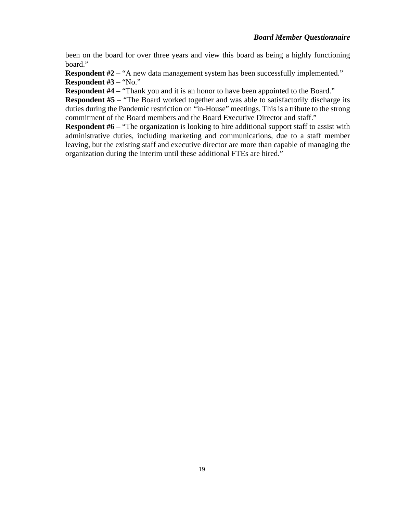been on the board for over three years and view this board as being a highly functioning board."

**Respondent #2** – "A new data management system has been successfully implemented." **Respondent #3** – "No."

**Respondent #4** – "Thank you and it is an honor to have been appointed to the Board."

**Respondent #5** – "The Board worked together and was able to satisfactorily discharge its duties during the Pandemic restriction on "in-House" meetings. This is a tribute to the strong commitment of the Board members and the Board Executive Director and staff."

**Respondent #6** – "The organization is looking to hire additional support staff to assist with administrative duties, including marketing and communications, due to a staff member leaving, but the existing staff and executive director are more than capable of managing the organization during the interim until these additional FTEs are hired."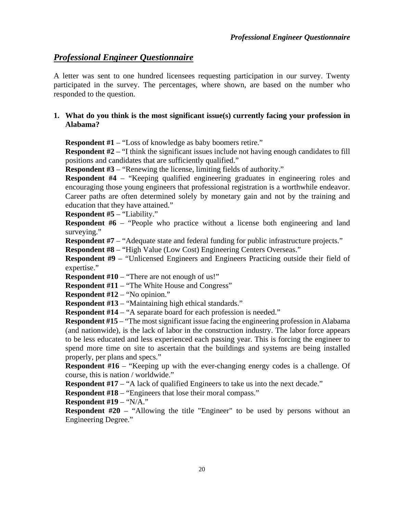## <span id="page-24-0"></span>*Professional Engineer Questionnaire*

A letter was sent to one hundred licensees requesting participation in our survey. Twenty participated in the survey. The percentages, where shown, are based on the number who responded to the question.

## **1. What do you think is the most significant issue(s) currently facing your profession in Alabama?**

**Respondent #1** – "Loss of knowledge as baby boomers retire."

**Respondent #2** – "I think the significant issues include not having enough candidates to fill positions and candidates that are sufficiently qualified."

**Respondent #3** – "Renewing the license, limiting fields of authority."

**Respondent #4** – "Keeping qualified engineering graduates in engineering roles and encouraging those young engineers that professional registration is a worthwhile endeavor. Career paths are often determined solely by monetary gain and not by the training and education that they have attained."

**Respondent #5** – "Liability."

**Respondent #6** – "People who practice without a license both engineering and land surveying."

**Respondent #7** – "Adequate state and federal funding for public infrastructure projects."

**Respondent #8** – "High Value (Low Cost) Engineering Centers Overseas."

**Respondent #9** – "Unlicensed Engineers and Engineers Practicing outside their field of expertise."

**Respondent #10** – "There are not enough of us!"

**Respondent #11** – "The White House and Congress"

**Respondent #12** – "No opinion."

**Respondent #13** – "Maintaining high ethical standards."

**Respondent #14** – "A separate board for each profession is needed."

**Respondent #15** – "The most significant issue facing the engineering profession in Alabama (and nationwide), is the lack of labor in the construction industry. The labor force appears to be less educated and less experienced each passing year. This is forcing the engineer to spend more time on site to ascertain that the buildings and systems are being installed properly, per plans and specs."

**Respondent #16** – "Keeping up with the ever-changing energy codes is a challenge. Of course, this is nation / worldwide."

**Respondent #17** – "A lack of qualified Engineers to take us into the next decade."

**Respondent #18** – "Engineers that lose their moral compass."

**Respondent #19** – "N/A."

**Respondent #20** – "Allowing the title "Engineer" to be used by persons without an Engineering Degree."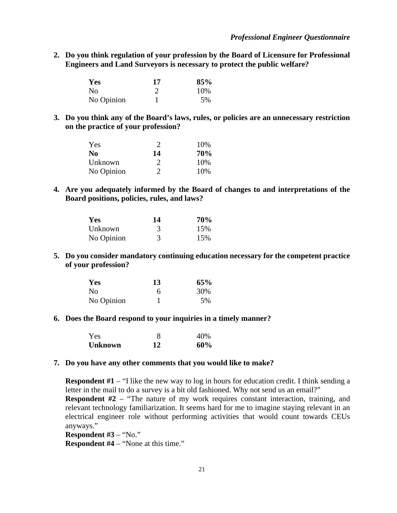#### *Professional Engineer Questionnaire*

**2. Do you think regulation of your profession by the Board of Licensure for Professional Engineers and Land Surveyors is necessary to protect the public welfare?**

| Yes            | 17 | 85% |
|----------------|----|-----|
| N <sub>0</sub> |    | 10% |
| No Opinion     |    | 5%  |

**3. Do you think any of the Board's laws, rules, or policies are an unnecessary restriction on the practice of your profession?**

| Yes        | 2  | 10\% |
|------------|----|------|
| No.        | 14 | 70%  |
| Unknown    | 2  | 10%  |
| No Opinion | 2  | 10%  |

**4. Are you adequately informed by the Board of changes to and interpretations of the Board positions, policies, rules, and laws?**

| Yes        | 14 | 70% |
|------------|----|-----|
| Unknown    | 3  | 15% |
| No Opinion | 3  | 15% |

**5. Do you consider mandatory continuing education necessary for the competent practice of your profession?**

| Yes            | 13 | 65% |
|----------------|----|-----|
| N <sub>0</sub> |    | 30% |
| No Opinion     |    | 5%  |

**6. Does the Board respond to your inquiries in a timely manner?**

| Yes            | 8  | 40% |
|----------------|----|-----|
| <b>Unknown</b> | 12 | 60% |

## **7. Do you have any other comments that you would like to make?**

**Respondent #1** – "I like the new way to log in hours for education credit. I think sending a letter in the mail to do a survey is a bit old fashioned. Why not send us an email?" **Respondent #2** – "The nature of my work requires constant interaction, training, and

relevant technology familiarization. It seems hard for me to imagine staying relevant in an electrical engineer role without performing activities that would count towards CEUs anyways."

**Respondent #3** – "No."

**Respondent #4** – "None at this time."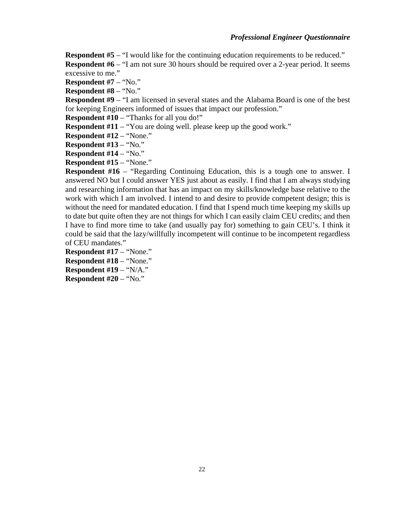## *Professional Engineer Questionnaire*

**Respondent #5** – "I would like for the continuing education requirements to be reduced."

**Respondent #6** – "I am not sure 30 hours should be required over a 2-year period. It seems excessive to me."

**Respondent #7** – "No."

**Respondent #8** – "No."

**Respondent #9** – "I am licensed in several states and the Alabama Board is one of the best for keeping Engineers informed of issues that impact our profession."

**Respondent #10** – "Thanks for all you do!"

**Respondent #11** – "You are doing well. please keep up the good work."

**Respondent #12** – "None."

**Respondent #13** – "No."

**Respondent #14** – "No."

**Respondent #15** – "None."

**Respondent #16** – "Regarding Continuing Education, this is a tough one to answer. I answered NO but I could answer YES just about as easily. I find that I am always studying and researching information that has an impact on my skills/knowledge base relative to the work with which I am involved. I intend to and desire to provide competent design; this is without the need for mandated education. I find that I spend much time keeping my skills up to date but quite often they are not things for which I can easily claim CEU credits; and then I have to find more time to take (and usually pay for) something to gain CEU's. I think it could be said that the lazy/willfully incompetent will continue to be incompetent regardless of CEU mandates."

**Respondent #17** – "None." **Respondent #18** – "None." **Respondent #19** – "N/A." **Respondent #20** – "No."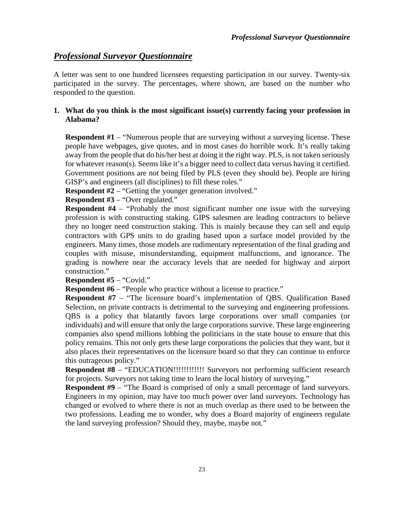## <span id="page-27-0"></span>*Professional Surveyor Questionnaire*

A letter was sent to one hundred licensees requesting participation in our survey. Twenty-six participated in the survey. The percentages, where shown, are based on the number who responded to the question.

## **1. What do you think is the most significant issue(s) currently facing your profession in Alabama?**

**Respondent #1** – "Numerous people that are surveying without a surveying license. These people have webpages, give quotes, and in most cases do horrible work. It's really taking away from the people that do his/her best at doing it the right way. PLS, is not taken seriously for whatever reason(s). Seems like it's a bigger need to collect data versus having it certified. Government positions are not being filed by PLS (even they should be). People are hiring GISP's and engineers (all disciplines) to fill these roles."

**Respondent #2** – "Getting the younger generation involved."

**Respondent #3** – "Over regulated."

**Respondent #4** – "Probably the most significant number one issue with the surveying profession is with constructing staking. GIPS salesmen are leading contractors to believe they no longer need construction staking. This is mainly because they can sell and equip contractors with GPS units to do grading based upon a surface model provided by the engineers. Many times, those models are rudimentary representation of the final grading and couples with misuse, misunderstanding, equipment malfunctions, and ignorance. The grading is nowhere near the accuracy levels that are needed for highway and airport construction."

**Respondent #5** – "Covid."

**Respondent #6** – "People who practice without a license to practice."

**Respondent #7** – "The licensure board's implementation of QBS. Qualification Based Selection, on private contracts is detrimental to the surveying and engineering professions. QBS is a policy that blatantly favors large corporations over small companies (or individuals) and will ensure that only the large corporations survive. These large engineering companies also spend millions lobbing the politicians in the state house to ensure that this policy remains. This not only gets these large corporations the policies that they want, but it also places their representatives on the licensure board so that they can continue to enforce this outrageous policy."

**Respondent #8** – "EDUCATION!!!!!!!!!!!!!!!!!!!!!! Surveyors not performing sufficient research for projects. Surveyors not taking time to learn the local history of surveying."

**Respondent** #9 – "The Board is comprised of only a small percentage of land surveyors. Engineers in my opinion, may have too much power over land surveyors. Technology has changed or evolved to where there is not as much overlap as there used to be between the two professions. Leading me to wonder, why does a Board majority of engineers regulate the land surveying profession? Should they, maybe, maybe not."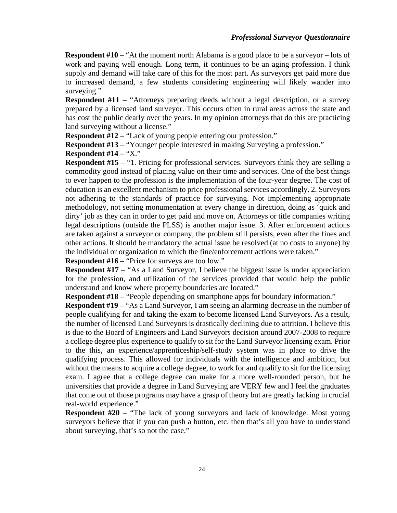**Respondent #10** – "At the moment north Alabama is a good place to be a surveyor – lots of work and paying well enough. Long term, it continues to be an aging profession. I think supply and demand will take care of this for the most part. As surveyors get paid more due to increased demand, a few students considering engineering will likely wander into surveying."

**Respondent #11** – "Attorneys preparing deeds without a legal description, or a survey prepared by a licensed land surveyor. This occurs often in rural areas across the state and has cost the public dearly over the years. In my opinion attorneys that do this are practicing land surveying without a license."

**Respondent #12** – "Lack of young people entering our profession."

**Respondent #13** – "Younger people interested in making Surveying a profession."

**Respondent #14** – "X."

**Respondent #15** – "1. Pricing for professional services. Surveyors think they are selling a commodity good instead of placing value on their time and services. One of the best things to ever happen to the profession is the implementation of the four-year degree. The cost of education is an excellent mechanism to price professional services accordingly. 2. Surveyors not adhering to the standards of practice for surveying. Not implementing appropriate methodology, not setting monumentation at every change in direction, doing as 'quick and dirty' job as they can in order to get paid and move on. Attorneys or title companies writing legal descriptions (outside the PLSS) is another major issue. 3. After enforcement actions are taken against a surveyor or company, the problem still persists, even after the fines and other actions. It should be mandatory the actual issue be resolved (at no costs to anyone) by the individual or organization to which the fine/enforcement actions were taken."

**Respondent #16** – "Price for surveys are too low."

**Respondent** #17 – "As a Land Surveyor, I believe the biggest issue is under appreciation for the profession, and utilization of the services provided that would help the public understand and know where property boundaries are located."

**Respondent #18** – "People depending on smartphone apps for boundary information."

**Respondent #19** – "As a Land Surveyor, I am seeing an alarming decrease in the number of people qualifying for and taking the exam to become licensed Land Surveyors. As a result, the number of licensed Land Surveyors is drastically declining due to attrition. I believe this is due to the Board of Engineers and Land Surveyors decision around 2007-2008 to require a college degree plus experience to qualify to sit for the Land Surveyor licensing exam. Prior to the this, an experience/apprenticeship/self-study system was in place to drive the qualifying process. This allowed for individuals with the intelligence and ambition, but without the means to acquire a college degree, to work for and qualify to sit for the licensing exam. I agree that a college degree can make for a more well-rounded person, but he universities that provide a degree in Land Surveying are VERY few and I feel the graduates that come out of those programs may have a grasp of theory but are greatly lacking in crucial real-world experience."

**Respondent #20** – "The lack of young surveyors and lack of knowledge. Most young surveyors believe that if you can push a button, etc. then that's all you have to understand about surveying, that's so not the case."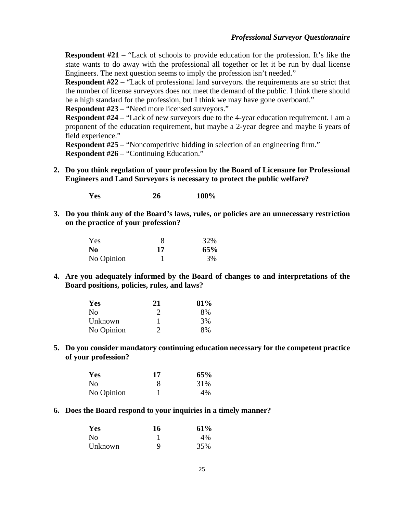**Respondent #21** – "Lack of schools to provide education for the profession. It's like the state wants to do away with the professional all together or let it be run by dual license Engineers. The next question seems to imply the profession isn't needed."

**Respondent #22** – "Lack of professional land surveyors. the requirements are so strict that the number of license surveyors does not meet the demand of the public. I think there should be a high standard for the profession, but I think we may have gone overboard."

**Respondent #23** – "Need more licensed surveyors."

**Respondent #24** – "Lack of new surveyors due to the 4-year education requirement. I am a proponent of the education requirement, but maybe a 2-year degree and maybe 6 years of field experience."

**Respondent #25** – "Noncompetitive bidding in selection of an engineering firm." **Respondent #26** – "Continuing Education."

**2. Do you think regulation of your profession by the Board of Licensure for Professional Engineers and Land Surveyors is necessary to protect the public welfare?**

**Yes 26 100%**

**3. Do you think any of the Board's laws, rules, or policies are an unnecessary restriction on the practice of your profession?**

| Yes        |    | 32% |
|------------|----|-----|
| No.        | 17 | 65% |
| No Opinion |    | 3%  |

**4. Are you adequately informed by the Board of changes to and interpretations of the Board positions, policies, rules, and laws?**

| Yes            | 21 | 81% |
|----------------|----|-----|
| N <sub>0</sub> | 2  | 8%  |
| Unknown        |    | 3%  |
| No Opinion     | 2  | 8%  |

**5. Do you consider mandatory continuing education necessary for the competent practice of your profession?**

| Yes            | 17 | 65% |  |  |
|----------------|----|-----|--|--|
| N <sub>0</sub> |    | 31% |  |  |
| No Opinion     |    | 4%  |  |  |

**6. Does the Board respond to your inquiries in a timely manner?**

| Yes     | 16 | 61%   |
|---------|----|-------|
| No      |    | $4\%$ |
| Unknown | Q  | 35%   |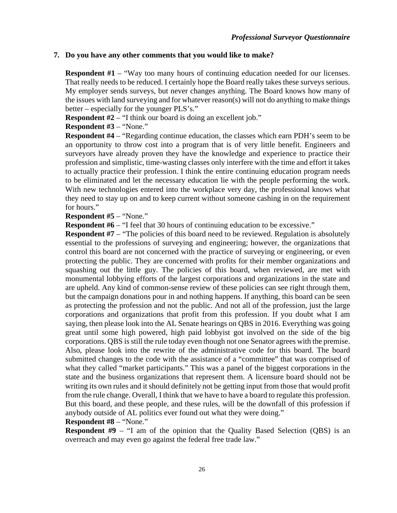## **7. Do you have any other comments that you would like to make?**

**Respondent #1** – "Way too many hours of continuing education needed for our licenses. That really needs to be reduced. I certainly hope the Board really takes these surveys serious. My employer sends surveys, but never changes anything. The Board knows how many of the issues with land surveying and for whatever reason(s) will not do anything to make things better – especially for the younger PLS's."

**Respondent #2** – "I think our board is doing an excellent job."

## **Respondent #3** – "None."

**Respondent #4** – "Regarding continue education, the classes which earn PDH's seem to be an opportunity to throw cost into a program that is of very little benefit. Engineers and surveyors have already proven they have the knowledge and experience to practice their profession and simplistic, time-wasting classes only interfere with the time and effort it takes to actually practice their profession. I think the entire continuing education program needs to be eliminated and let the necessary education lie with the people performing the work. With new technologies entered into the workplace very day, the professional knows what they need to stay up on and to keep current without someone cashing in on the requirement for hours."

### **Respondent #5** – "None."

**Respondent #6** – "I feel that 30 hours of continuing education to be excessive."

**Respondent #7** – "The policies of this board need to be reviewed. Regulation is absolutely essential to the professions of surveying and engineering; however, the organizations that control this board are not concerned with the practice of surveying or engineering, or even protecting the public. They are concerned with profits for their member organizations and squashing out the little guy. The policies of this board, when reviewed, are met with monumental lobbying efforts of the largest corporations and organizations in the state and are upheld. Any kind of common-sense review of these policies can see right through them, but the campaign donations pour in and nothing happens. If anything, this board can be seen as protecting the profession and not the public. And not all of the profession, just the large corporations and organizations that profit from this profession. If you doubt what I am saying, then please look into the AL Senate hearings on QBS in 2016. Everything was going great until some high powered, high paid lobbyist got involved on the side of the big corporations. QBS is still the rule today even though not one Senator agrees with the premise. Also, please look into the rewrite of the administrative code for this board. The board submitted changes to the code with the assistance of a "committee" that was comprised of what they called "market participants." This was a panel of the biggest corporations in the state and the business organizations that represent them. A licensure board should not be writing its own rules and it should definitely not be getting input from those that would profit from the rule change. Overall, I think that we have to have a board to regulate this profession. But this board, and these people, and these rules, will be the downfall of this profession if anybody outside of AL politics ever found out what they were doing."

### **Respondent #8** – "None."

**Respondent #9** – "I am of the opinion that the Quality Based Selection (QBS) is an overreach and may even go against the federal free trade law."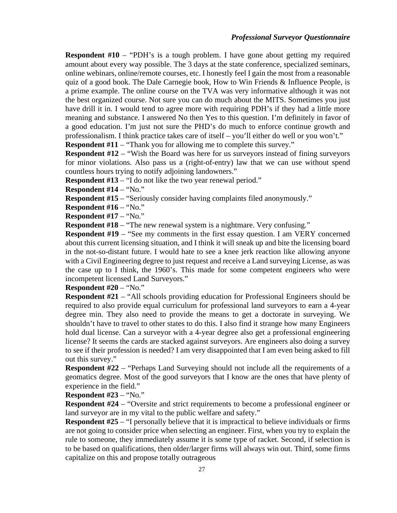**Respondent #10** – "PDH's is a tough problem. I have gone about getting my required amount about every way possible. The 3 days at the state conference, specialized seminars, online webinars, online/remote courses, etc. I honestly feel I gain the most from a reasonable quiz of a good book. The Dale Carnegie book, How to Win Friends & Influence People, is a prime example. The online course on the TVA was very informative although it was not the best organized course. Not sure you can do much about the MITS. Sometimes you just have drill it in. I would tend to agree more with requiring PDH's if they had a little more meaning and substance. I answered No then Yes to this question. I'm definitely in favor of a good education. I'm just not sure the PHD's do much to enforce continue growth and professionalism. I think practice takes care of itself – you'll either do well or you won't."

**Respondent #11** – "Thank you for allowing me to complete this survey."

**Respondent #12** – "Wish the Board was here for us surveyors instead of fining surveyors for minor violations. Also pass us a (right-of-entry) law that we can use without spend countless hours trying to notify adjoining landowners."

**Respondent #13** – "I do not like the two year renewal period."

**Respondent #14** – "No."

**Respondent #15** – "Seriously consider having complaints filed anonymously."

**Respondent #16** – "No."

**Respondent #17** – "No."

**Respondent #18** – "The new renewal system is a nightmare. Very confusing."

**Respondent #19** – "See my comments in the first essay question. I am VERY concerned about this current licensing situation, and I think it will sneak up and bite the licensing board in the not-so-distant future. I would hate to see a knee jerk reaction like allowing anyone with a Civil Engineering degree to just request and receive a Land surveying License, as was the case up to I think, the 1960's. This made for some competent engineers who were incompetent licensed Land Surveyors."

**Respondent #20** – "No."

**Respondent #21** – "All schools providing education for Professional Engineers should be required to also provide equal curriculum for professional land surveyors to earn a 4-year degree min. They also need to provide the means to get a doctorate in surveying. We shouldn't have to travel to other states to do this. I also find it strange how many Engineers hold dual license. Can a surveyor with a 4-year degree also get a professional engineering license? It seems the cards are stacked against surveyors. Are engineers also doing a survey to see if their profession is needed? I am very disappointed that I am even being asked to fill out this survey."

**Respondent #22** – "Perhaps Land Surveying should not include all the requirements of a geomatics degree. Most of the good surveyors that I know are the ones that have plenty of experience in the field."

**Respondent #23** – "No."

**Respondent #24** – "Oversite and strict requirements to become a professional engineer or land surveyor are in my vital to the public welfare and safety."

**Respondent #25** – "I personally believe that it is impractical to believe individuals or firms are not going to consider price when selecting an engineer. First, when you try to explain the rule to someone, they immediately assume it is some type of racket. Second, if selection is to be based on qualifications, then older/larger firms will always win out. Third, some firms capitalize on this and propose totally outrageous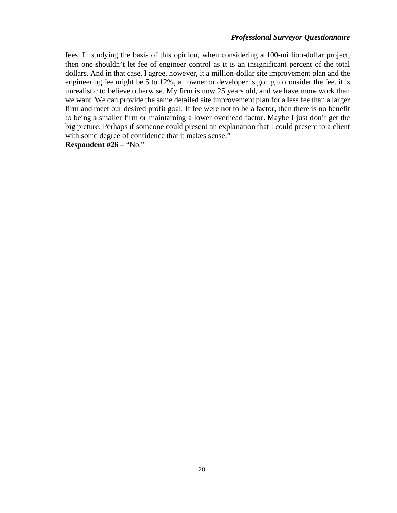#### *Professional Surveyor Questionnaire*

fees. In studying the basis of this opinion, when considering a 100-million-dollar project, then one shouldn't let fee of engineer control as it is an insignificant percent of the total dollars. And in that case, I agree, however, it a million-dollar site improvement plan and the engineering fee might be 5 to 12%, an owner or developer is going to consider the fee. it is unrealistic to believe otherwise. My firm is now 25 years old, and we have more work than we want. We can provide the same detailed site improvement plan for a less fee than a larger firm and meet our desired profit goal. If fee were not to be a factor, then there is no benefit to being a smaller firm or maintaining a lower overhead factor. Maybe I just don't get the big picture. Perhaps if someone could present an explanation that I could present to a client with some degree of confidence that it makes sense."

**Respondent #26** – "No."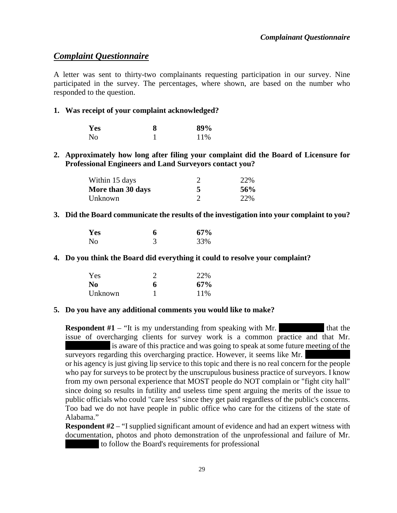## <span id="page-33-0"></span>*Complaint Questionnaire*

A letter was sent to thirty-two complainants requesting participation in our survey. Nine participated in the survey. The percentages, where shown, are based on the number who responded to the question.

## **1. Was receipt of your complaint acknowledged?**

| <b>Yes</b> | 8 | 89% |  |  |
|------------|---|-----|--|--|
| No         |   | 11% |  |  |

## **2. Approximately how long after filing your complaint did the Board of Licensure for Professional Engineers and Land Surveyors contact you?**

| Within 15 days    | 22% |
|-------------------|-----|
| More than 30 days | 56% |
| Unknown           | 22% |

## **3. Did the Board communicate the results of the investigation into your complaint to you?**

| Yes            | 6 | 67% |
|----------------|---|-----|
| N <sub>0</sub> |   | 33% |

### **4. Do you think the Board did everything it could to resolve your complaint?**

| Yes     |   | 22% |
|---------|---|-----|
| No      | 6 | 67% |
| Unknown |   | 11% |

### **5. Do you have any additional comments you would like to make?**

**Respondent**  $#1$  – "It is my understanding from speaking with Mr. issue of overcharging clients for survey work is a common practice and that Mr. is aware of this practice and was going to speak at some future meeting of the surveyors regarding this overcharging practice. However, it seems like Mr. or his agency is just giving lip service to this topic and there is no real concern for the people who pay for surveys to be protect by the unscrupulous business practice of surveyors. I know from my own personal experience that MOST people do NOT complain or "fight city hall" since doing so results in futility and useless time spent arguing the merits of the issue to public officials who could "care less" since they get paid regardless of the public's concerns. Too bad we do not have people in public office who care for the citizens of the state of Alabama."

**Respondent #2** – "I supplied significant amount of evidence and had an expert witness with documentation, photos and photo demonstration of the unprofessional and failure of Mr. to follow the Board's requirements for professional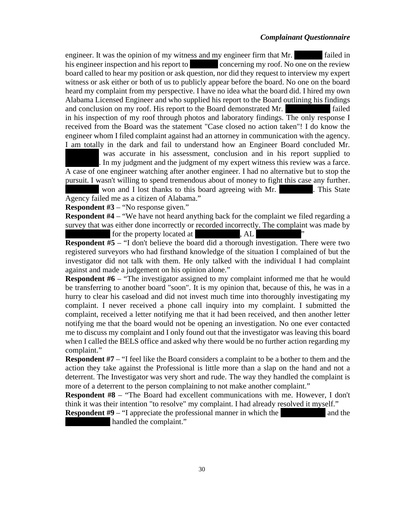## *Complainant Questionnaire*

engineer. It was the opinion of my witness and my engineer firm that Mr.  $\qquad \qquad$  failed in his engineer inspection and his report to concerning my roof. No one on the review board called to hear my position or ask question, nor did they request to interview my expert witness or ask either or both of us to publicly appear before the board. No one on the board heard my complaint from my perspective. I have no idea what the board did. I hired my own Alabama Licensed Engineer and who supplied his report to the Board outlining his findings and conclusion on my roof. His report to the Board demonstrated Mr.  $\qquad \qquad$  failed in his inspection of my roof through photos and laboratory findings. The only response I received from the Board was the statement "Case closed no action taken"! I do know the engineer whom I filed complaint against had an attorney in communication with the agency. I am totally in the dark and fail to understand how an Engineer Board concluded Mr.

was accurate in his assessment, conclusion and in his report supplied to In my judgment and the judgment of my expert witness this review was a farce. A case of one engineer watching after another engineer. I had no alternative but to stop the pursuit. I wasn't willing to spend tremendous about of money to fight this case any further.

won and I lost thanks to this board agreeing with Mr. This State Agency failed me as a citizen of Alabama."

**Respondent #3** – "No response given."

**Respondent #4** – "We have not heard anything back for the complaint we filed regarding a survey that was either done incorrectly or recorded incorrectly. The complaint was made by for the property located at  $\overline{A}$ , AL

**Respondent #5** – "I don't believe the board did a thorough investigation. There were two registered surveyors who had firsthand knowledge of the situation I complained of but the investigator did not talk with them. He only talked with the individual I had complaint against and made a judgement on his opinion alone."

**Respondent #6** – "The investigator assigned to my complaint informed me that he would be transferring to another board "soon". It is my opinion that, because of this, he was in a hurry to clear his caseload and did not invest much time into thoroughly investigating my complaint. I never received a phone call inquiry into my complaint. I submitted the complaint, received a letter notifying me that it had been received, and then another letter notifying me that the board would not be opening an investigation. No one ever contacted me to discuss my complaint and I only found out that the investigator was leaving this board when I called the BELS office and asked why there would be no further action regarding my complaint."

**Respondent #7** – "I feel like the Board considers a complaint to be a bother to them and the action they take against the Professional is little more than a slap on the hand and not a deterrent. The Investigator was very short and rude. The way they handled the complaint is more of a deterrent to the person complaining to not make another complaint."

**Respondent #8** – "The Board had excellent communications with me. However, I don't think it was their intention "to resolve" my complaint. I had already resolved it myself."

**Respondent #9** – "I appreciate the professional manner in which the  $\blacksquare$  and the handled the complaint."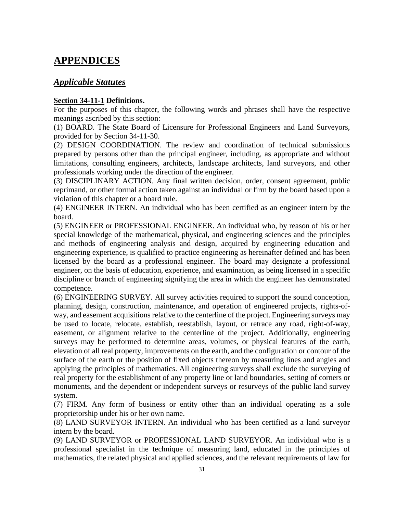## <span id="page-35-0"></span>**APPENDICES**

## <span id="page-35-1"></span>*Applicable Statutes*

## **Section 34-11-1 Definitions.**

For the purposes of this chapter, the following words and phrases shall have the respective meanings ascribed by this section:

(1) BOARD. The State Board of Licensure for Professional Engineers and Land Surveyors, provided for by Section 34-11-30.

(2) DESIGN COORDINATION. The review and coordination of technical submissions prepared by persons other than the principal engineer, including, as appropriate and without limitations, consulting engineers, architects, landscape architects, land surveyors, and other professionals working under the direction of the engineer.

(3) DISCIPLINARY ACTION. Any final written decision, order, consent agreement, public reprimand, or other formal action taken against an individual or firm by the board based upon a violation of this chapter or a board rule.

(4) ENGINEER INTERN. An individual who has been certified as an engineer intern by the board.

(5) ENGINEER or PROFESSIONAL ENGINEER. An individual who, by reason of his or her special knowledge of the mathematical, physical, and engineering sciences and the principles and methods of engineering analysis and design, acquired by engineering education and engineering experience, is qualified to practice engineering as hereinafter defined and has been licensed by the board as a professional engineer. The board may designate a professional engineer, on the basis of education, experience, and examination, as being licensed in a specific discipline or branch of engineering signifying the area in which the engineer has demonstrated competence.

(6) ENGINEERING SURVEY. All survey activities required to support the sound conception, planning, design, construction, maintenance, and operation of engineered projects, rights-ofway, and easement acquisitions relative to the centerline of the project. Engineering surveys may be used to locate, relocate, establish, reestablish, layout, or retrace any road, right-of-way, easement, or alignment relative to the centerline of the project. Additionally, engineering surveys may be performed to determine areas, volumes, or physical features of the earth, elevation of all real property, improvements on the earth, and the configuration or contour of the surface of the earth or the position of fixed objects thereon by measuring lines and angles and applying the principles of mathematics. All engineering surveys shall exclude the surveying of real property for the establishment of any property line or land boundaries, setting of corners or monuments, and the dependent or independent surveys or resurveys of the public land survey system.

(7) FIRM. Any form of business or entity other than an individual operating as a sole proprietorship under his or her own name.

(8) LAND SURVEYOR INTERN. An individual who has been certified as a land surveyor intern by the board.

(9) LAND SURVEYOR or PROFESSIONAL LAND SURVEYOR. An individual who is a professional specialist in the technique of measuring land, educated in the principles of mathematics, the related physical and applied sciences, and the relevant requirements of law for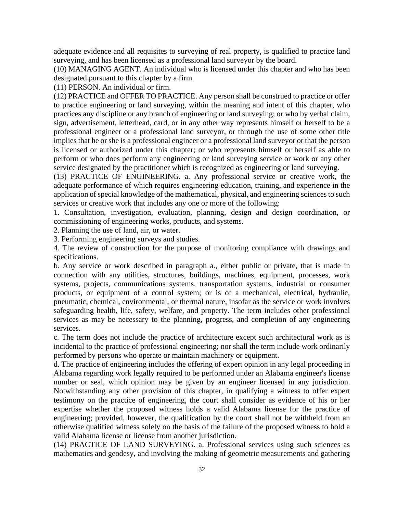adequate evidence and all requisites to surveying of real property, is qualified to practice land surveying, and has been licensed as a professional land surveyor by the board.

(10) MANAGING AGENT. An individual who is licensed under this chapter and who has been designated pursuant to this chapter by a firm.

(11) PERSON. An individual or firm.

(12) PRACTICE and OFFER TO PRACTICE. Any person shall be construed to practice or offer to practice engineering or land surveying, within the meaning and intent of this chapter, who practices any discipline or any branch of engineering or land surveying; or who by verbal claim, sign, advertisement, letterhead, card, or in any other way represents himself or herself to be a professional engineer or a professional land surveyor, or through the use of some other title implies that he or she is a professional engineer or a professional land surveyor or that the person is licensed or authorized under this chapter; or who represents himself or herself as able to perform or who does perform any engineering or land surveying service or work or any other service designated by the practitioner which is recognized as engineering or land surveying.

(13) PRACTICE OF ENGINEERING. a. Any professional service or creative work, the adequate performance of which requires engineering education, training, and experience in the application of special knowledge of the mathematical, physical, and engineering sciences to such services or creative work that includes any one or more of the following:

1. Consultation, investigation, evaluation, planning, design and design coordination, or commissioning of engineering works, products, and systems.

2. Planning the use of land, air, or water.

3. Performing engineering surveys and studies.

4. The review of construction for the purpose of monitoring compliance with drawings and specifications.

b. Any service or work described in paragraph a., either public or private, that is made in connection with any utilities, structures, buildings, machines, equipment, processes, work systems, projects, communications systems, transportation systems, industrial or consumer products, or equipment of a control system; or is of a mechanical, electrical, hydraulic, pneumatic, chemical, environmental, or thermal nature, insofar as the service or work involves safeguarding health, life, safety, welfare, and property. The term includes other professional services as may be necessary to the planning, progress, and completion of any engineering services.

c. The term does not include the practice of architecture except such architectural work as is incidental to the practice of professional engineering; nor shall the term include work ordinarily performed by persons who operate or maintain machinery or equipment.

d. The practice of engineering includes the offering of expert opinion in any legal proceeding in Alabama regarding work legally required to be performed under an Alabama engineer's license number or seal, which opinion may be given by an engineer licensed in any jurisdiction. Notwithstanding any other provision of this chapter, in qualifying a witness to offer expert testimony on the practice of engineering, the court shall consider as evidence of his or her expertise whether the proposed witness holds a valid Alabama license for the practice of engineering; provided, however, the qualification by the court shall not be withheld from an otherwise qualified witness solely on the basis of the failure of the proposed witness to hold a valid Alabama license or license from another jurisdiction.

(14) PRACTICE OF LAND SURVEYING. a. Professional services using such sciences as mathematics and geodesy, and involving the making of geometric measurements and gathering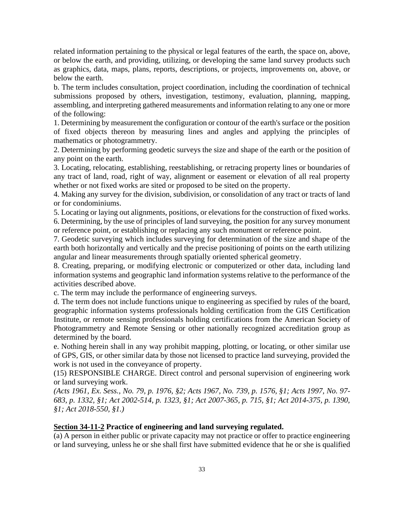related information pertaining to the physical or legal features of the earth, the space on, above, or below the earth, and providing, utilizing, or developing the same land survey products such as graphics, data, maps, plans, reports, descriptions, or projects, improvements on, above, or below the earth.

b. The term includes consultation, project coordination, including the coordination of technical submissions proposed by others, investigation, testimony, evaluation, planning, mapping, assembling, and interpreting gathered measurements and information relating to any one or more of the following:

1. Determining by measurement the configuration or contour of the earth's surface or the position of fixed objects thereon by measuring lines and angles and applying the principles of mathematics or photogrammetry.

2. Determining by performing geodetic surveys the size and shape of the earth or the position of any point on the earth.

3. Locating, relocating, establishing, reestablishing, or retracing property lines or boundaries of any tract of land, road, right of way, alignment or easement or elevation of all real property whether or not fixed works are sited or proposed to be sited on the property.

4. Making any survey for the division, subdivision, or consolidation of any tract or tracts of land or for condominiums.

5. Locating or laying out alignments, positions, or elevations for the construction of fixed works. 6. Determining, by the use of principles of land surveying, the position for any survey monument or reference point, or establishing or replacing any such monument or reference point.

7. Geodetic surveying which includes surveying for determination of the size and shape of the earth both horizontally and vertically and the precise positioning of points on the earth utilizing angular and linear measurements through spatially oriented spherical geometry.

8. Creating, preparing, or modifying electronic or computerized or other data, including land information systems and geographic land information systems relative to the performance of the activities described above.

c. The term may include the performance of engineering surveys.

d. The term does not include functions unique to engineering as specified by rules of the board, geographic information systems professionals holding certification from the GIS Certification Institute, or remote sensing professionals holding certifications from the American Society of Photogrammetry and Remote Sensing or other nationally recognized accreditation group as determined by the board.

e. Nothing herein shall in any way prohibit mapping, plotting, or locating, or other similar use of GPS, GIS, or other similar data by those not licensed to practice land surveying, provided the work is not used in the conveyance of property.

(15) RESPONSIBLE CHARGE. Direct control and personal supervision of engineering work or land surveying work.

*(Acts 1961, Ex. Sess., No. 79, p. 1976, §2; Acts 1967, No. 739, p. 1576, §1; Acts 1997, No. 97- 683, p. 1332, §1; Act 2002-514, p. 1323, §1; Act 2007-365, p. 715, §1; Act 2014-375, p. 1390, §1; Act 2018-550, §1.)*

### **Section 34-11-2 Practice of engineering and land surveying regulated.**

(a) A person in either public or private capacity may not practice or offer to practice engineering or land surveying, unless he or she shall first have submitted evidence that he or she is qualified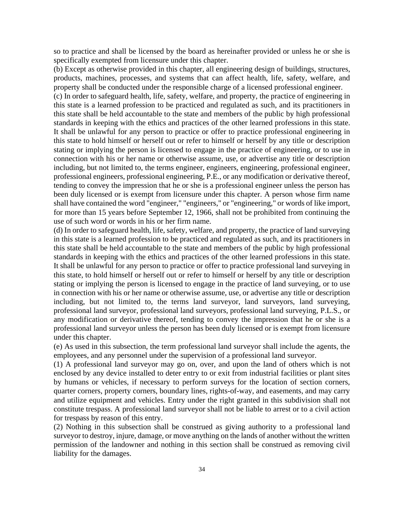so to practice and shall be licensed by the board as hereinafter provided or unless he or she is specifically exempted from licensure under this chapter.

(b) Except as otherwise provided in this chapter, all engineering design of buildings, structures, products, machines, processes, and systems that can affect health, life, safety, welfare, and property shall be conducted under the responsible charge of a licensed professional engineer.

(c) In order to safeguard health, life, safety, welfare, and property, the practice of engineering in this state is a learned profession to be practiced and regulated as such, and its practitioners in this state shall be held accountable to the state and members of the public by high professional standards in keeping with the ethics and practices of the other learned professions in this state. It shall be unlawful for any person to practice or offer to practice professional engineering in this state to hold himself or herself out or refer to himself or herself by any title or description stating or implying the person is licensed to engage in the practice of engineering, or to use in connection with his or her name or otherwise assume, use, or advertise any title or description including, but not limited to, the terms engineer, engineers, engineering, professional engineer, professional engineers, professional engineering, P.E., or any modification or derivative thereof, tending to convey the impression that he or she is a professional engineer unless the person has been duly licensed or is exempt from licensure under this chapter. A person whose firm name shall have contained the word "engineer," "engineers," or "engineering," or words of like import, for more than 15 years before September 12, 1966, shall not be prohibited from continuing the use of such word or words in his or her firm name.

(d) In order to safeguard health, life, safety, welfare, and property, the practice of land surveying in this state is a learned profession to be practiced and regulated as such, and its practitioners in this state shall be held accountable to the state and members of the public by high professional standards in keeping with the ethics and practices of the other learned professions in this state. It shall be unlawful for any person to practice or offer to practice professional land surveying in this state, to hold himself or herself out or refer to himself or herself by any title or description stating or implying the person is licensed to engage in the practice of land surveying, or to use in connection with his or her name or otherwise assume, use, or advertise any title or description including, but not limited to, the terms land surveyor, land surveyors, land surveying, professional land surveyor, professional land surveyors, professional land surveying, P.L.S., or any modification or derivative thereof, tending to convey the impression that he or she is a professional land surveyor unless the person has been duly licensed or is exempt from licensure under this chapter.

(e) As used in this subsection, the term professional land surveyor shall include the agents, the employees, and any personnel under the supervision of a professional land surveyor.

(1) A professional land surveyor may go on, over, and upon the land of others which is not enclosed by any device installed to deter entry to or exit from industrial facilities or plant sites by humans or vehicles, if necessary to perform surveys for the location of section corners, quarter corners, property corners, boundary lines, rights-of-way, and easements, and may carry and utilize equipment and vehicles. Entry under the right granted in this subdivision shall not constitute trespass. A professional land surveyor shall not be liable to arrest or to a civil action for trespass by reason of this entry.

(2) Nothing in this subsection shall be construed as giving authority to a professional land surveyor to destroy, injure, damage, or move anything on the lands of another without the written permission of the landowner and nothing in this section shall be construed as removing civil liability for the damages.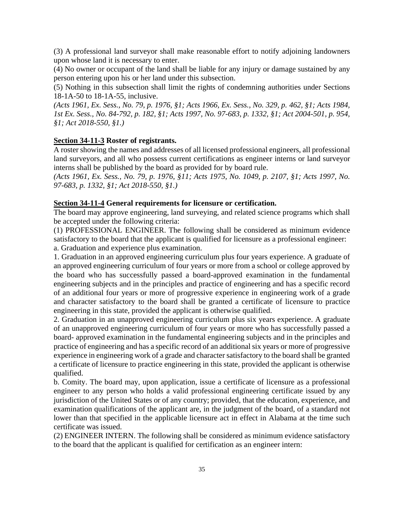(3) A professional land surveyor shall make reasonable effort to notify adjoining landowners upon whose land it is necessary to enter.

(4) No owner or occupant of the land shall be liable for any injury or damage sustained by any person entering upon his or her land under this subsection.

(5) Nothing in this subsection shall limit the rights of condemning authorities under Sections 18-1A-50 to 18-1A-55, inclusive.

*(Acts 1961, Ex. Sess., No. 79, p. 1976, §1; Acts 1966, Ex. Sess., No. 329, p. 462, §1; Acts 1984, 1st Ex. Sess., No. 84-792, p. 182, §1; Acts 1997, No. 97-683, p. 1332, §1; Act 2004-501, p. 954, §1; Act 2018-550, §1.)*

### **Section 34-11-3 Roster of registrants.**

A roster showing the names and addresses of all licensed professional engineers, all professional land surveyors, and all who possess current certifications as engineer interns or land surveyor interns shall be published by the board as provided for by board rule.

*(Acts 1961, Ex. Sess., No. 79, p. 1976, §11; Acts 1975, No. 1049, p. 2107, §1; Acts 1997, No. 97-683, p. 1332, §1; Act 2018-550, §1.)*

### **Section 34-11-4 General requirements for licensure or certification.**

The board may approve engineering, land surveying, and related science programs which shall be accepted under the following criteria:

(1) PROFESSIONAL ENGINEER. The following shall be considered as minimum evidence satisfactory to the board that the applicant is qualified for licensure as a professional engineer: a. Graduation and experience plus examination.

1. Graduation in an approved engineering curriculum plus four years experience. A graduate of an approved engineering curriculum of four years or more from a school or college approved by the board who has successfully passed a board-approved examination in the fundamental engineering subjects and in the principles and practice of engineering and has a specific record of an additional four years or more of progressive experience in engineering work of a grade and character satisfactory to the board shall be granted a certificate of licensure to practice engineering in this state, provided the applicant is otherwise qualified.

2. Graduation in an unapproved engineering curriculum plus six years experience. A graduate of an unapproved engineering curriculum of four years or more who has successfully passed a board- approved examination in the fundamental engineering subjects and in the principles and practice of engineering and has a specific record of an additional six years or more of progressive experience in engineering work of a grade and character satisfactory to the board shall be granted a certificate of licensure to practice engineering in this state, provided the applicant is otherwise qualified.

b. Comity. The board may, upon application, issue a certificate of licensure as a professional engineer to any person who holds a valid professional engineering certificate issued by any jurisdiction of the United States or of any country; provided, that the education, experience, and examination qualifications of the applicant are, in the judgment of the board, of a standard not lower than that specified in the applicable licensure act in effect in Alabama at the time such certificate was issued.

(2) ENGINEER INTERN. The following shall be considered as minimum evidence satisfactory to the board that the applicant is qualified for certification as an engineer intern: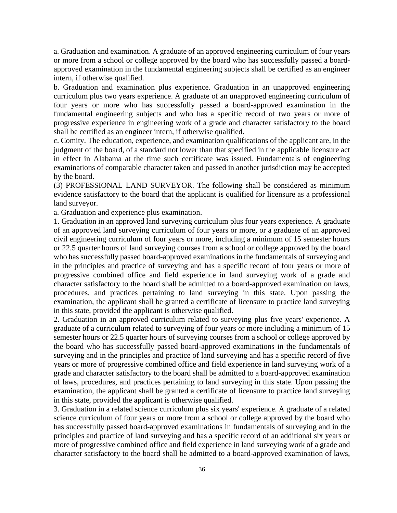a. Graduation and examination. A graduate of an approved engineering curriculum of four years or more from a school or college approved by the board who has successfully passed a boardapproved examination in the fundamental engineering subjects shall be certified as an engineer intern, if otherwise qualified.

b. Graduation and examination plus experience. Graduation in an unapproved engineering curriculum plus two years experience. A graduate of an unapproved engineering curriculum of four years or more who has successfully passed a board-approved examination in the fundamental engineering subjects and who has a specific record of two years or more of progressive experience in engineering work of a grade and character satisfactory to the board shall be certified as an engineer intern, if otherwise qualified.

c. Comity. The education, experience, and examination qualifications of the applicant are, in the judgment of the board, of a standard not lower than that specified in the applicable licensure act in effect in Alabama at the time such certificate was issued. Fundamentals of engineering examinations of comparable character taken and passed in another jurisdiction may be accepted by the board.

(3) PROFESSIONAL LAND SURVEYOR. The following shall be considered as minimum evidence satisfactory to the board that the applicant is qualified for licensure as a professional land surveyor.

a. Graduation and experience plus examination.

1. Graduation in an approved land surveying curriculum plus four years experience. A graduate of an approved land surveying curriculum of four years or more, or a graduate of an approved civil engineering curriculum of four years or more, including a minimum of 15 semester hours or 22.5 quarter hours of land surveying courses from a school or college approved by the board who has successfully passed board-approved examinations in the fundamentals of surveying and in the principles and practice of surveying and has a specific record of four years or more of progressive combined office and field experience in land surveying work of a grade and character satisfactory to the board shall be admitted to a board-approved examination on laws, procedures, and practices pertaining to land surveying in this state. Upon passing the examination, the applicant shall be granted a certificate of licensure to practice land surveying in this state, provided the applicant is otherwise qualified.

2. Graduation in an approved curriculum related to surveying plus five years' experience. A graduate of a curriculum related to surveying of four years or more including a minimum of 15 semester hours or 22.5 quarter hours of surveying courses from a school or college approved by the board who has successfully passed board-approved examinations in the fundamentals of surveying and in the principles and practice of land surveying and has a specific record of five years or more of progressive combined office and field experience in land surveying work of a grade and character satisfactory to the board shall be admitted to a board-approved examination of laws, procedures, and practices pertaining to land surveying in this state. Upon passing the examination, the applicant shall be granted a certificate of licensure to practice land surveying in this state, provided the applicant is otherwise qualified.

3. Graduation in a related science curriculum plus six years' experience. A graduate of a related science curriculum of four years or more from a school or college approved by the board who has successfully passed board-approved examinations in fundamentals of surveying and in the principles and practice of land surveying and has a specific record of an additional six years or more of progressive combined office and field experience in land surveying work of a grade and character satisfactory to the board shall be admitted to a board-approved examination of laws,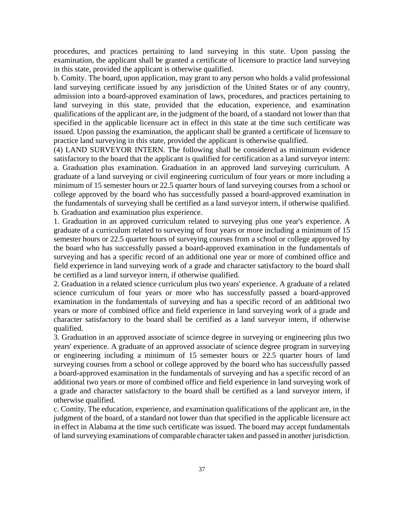procedures, and practices pertaining to land surveying in this state. Upon passing the examination, the applicant shall be granted a certificate of licensure to practice land surveying in this state, provided the applicant is otherwise qualified.

b. Comity. The board, upon application, may grant to any person who holds a valid professional land surveying certificate issued by any jurisdiction of the United States or of any country, admission into a board-approved examination of laws, procedures, and practices pertaining to land surveying in this state, provided that the education, experience, and examination qualifications of the applicant are, in the judgment of the board, of a standard not lower than that specified in the applicable licensure act in effect in this state at the time such certificate was issued. Upon passing the examination, the applicant shall be granted a certificate of licensure to practice land surveying in this state, provided the applicant is otherwise qualified.

(4) LAND SURVEYOR INTERN. The following shall be considered as minimum evidence satisfactory to the board that the applicant is qualified for certification as a land surveyor intern: a. Graduation plus examination. Graduation in an approved land surveying curriculum. A graduate of a land surveying or civil engineering curriculum of four years or more including a minimum of 15 semester hours or 22.5 quarter hours of land surveying courses from a school or college approved by the board who has successfully passed a board-approved examination in the fundamentals of surveying shall be certified as a land surveyor intern, if otherwise qualified. b. Graduation and examination plus experience.

1. Graduation in an approved curriculum related to surveying plus one year's experience. A graduate of a curriculum related to surveying of four years or more including a minimum of 15 semester hours or 22.5 quarter hours of surveying courses from a school or college approved by the board who has successfully passed a board-approved examination in the fundamentals of surveying and has a specific record of an additional one year or more of combined office and field experience in land surveying work of a grade and character satisfactory to the board shall be certified as a land surveyor intern, if otherwise qualified.

2. Graduation in a related science curriculum plus two years' experience. A graduate of a related science curriculum of four years or more who has successfully passed a board-approved examination in the fundamentals of surveying and has a specific record of an additional two years or more of combined office and field experience in land surveying work of a grade and character satisfactory to the board shall be certified as a land surveyor intern, if otherwise qualified.

3. Graduation in an approved associate of science degree in surveying or engineering plus two years' experience. A graduate of an approved associate of science degree program in surveying or engineering including a minimum of 15 semester hours or 22.5 quarter hours of land surveying courses from a school or college approved by the board who has successfully passed a board-approved examination in the fundamentals of surveying and has a specific record of an additional two years or more of combined office and field experience in land surveying work of a grade and character satisfactory to the board shall be certified as a land surveyor intern, if otherwise qualified.

c. Comity. The education, experience, and examination qualifications of the applicant are, in the judgment of the board, of a standard not lower than that specified in the applicable licensure act in effect in Alabama at the time such certificate was issued. The board may accept fundamentals of land surveying examinations of comparable character taken and passed in another jurisdiction.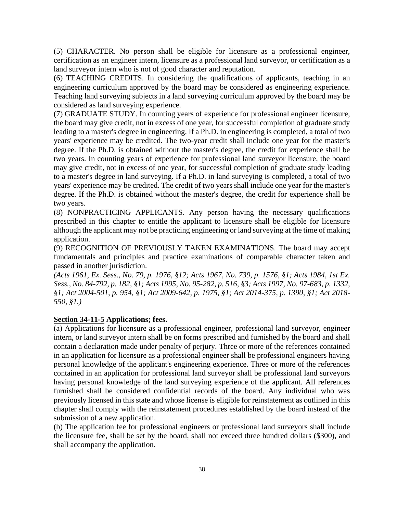(5) CHARACTER. No person shall be eligible for licensure as a professional engineer, certification as an engineer intern, licensure as a professional land surveyor, or certification as a land surveyor intern who is not of good character and reputation.

(6) TEACHING CREDITS. In considering the qualifications of applicants, teaching in an engineering curriculum approved by the board may be considered as engineering experience. Teaching land surveying subjects in a land surveying curriculum approved by the board may be considered as land surveying experience.

(7) GRADUATE STUDY. In counting years of experience for professional engineer licensure, the board may give credit, not in excess of one year, for successful completion of graduate study leading to a master's degree in engineering. If a Ph.D. in engineering is completed, a total of two years' experience may be credited. The two-year credit shall include one year for the master's degree. If the Ph.D. is obtained without the master's degree, the credit for experience shall be two years. In counting years of experience for professional land surveyor licensure, the board may give credit, not in excess of one year, for successful completion of graduate study leading to a master's degree in land surveying. If a Ph.D. in land surveying is completed, a total of two years' experience may be credited. The credit of two years shall include one year for the master's degree. If the Ph.D. is obtained without the master's degree, the credit for experience shall be two years.

(8) NONPRACTICING APPLICANTS. Any person having the necessary qualifications prescribed in this chapter to entitle the applicant to licensure shall be eligible for licensure although the applicant may not be practicing engineering or land surveying at the time of making application.

(9) RECOGNITION OF PREVIOUSLY TAKEN EXAMINATIONS. The board may accept fundamentals and principles and practice examinations of comparable character taken and passed in another jurisdiction.

*(Acts 1961, Ex. Sess., No. 79, p. 1976, §12; Acts 1967, No. 739, p. 1576, §1; Acts 1984, 1st Ex. Sess., No. 84-792, p. 182, §1; Acts 1995, No. 95-282, p. 516, §3; Acts 1997, No. 97-683, p. 1332, §1; Act 2004-501, p. 954, §1; Act 2009-642, p. 1975, §1; Act 2014-375, p. 1390, §1; Act 2018- 550, §1.)*

#### **Section 34-11-5 Applications; fees.**

(a) Applications for licensure as a professional engineer, professional land surveyor, engineer intern, or land surveyor intern shall be on forms prescribed and furnished by the board and shall contain a declaration made under penalty of perjury. Three or more of the references contained in an application for licensure as a professional engineer shall be professional engineers having personal knowledge of the applicant's engineering experience. Three or more of the references contained in an application for professional land surveyor shall be professional land surveyors having personal knowledge of the land surveying experience of the applicant. All references furnished shall be considered confidential records of the board. Any individual who was previously licensed in this state and whose license is eligible for reinstatement as outlined in this chapter shall comply with the reinstatement procedures established by the board instead of the submission of a new application.

(b) The application fee for professional engineers or professional land surveyors shall include the licensure fee, shall be set by the board, shall not exceed three hundred dollars (\$300), and shall accompany the application.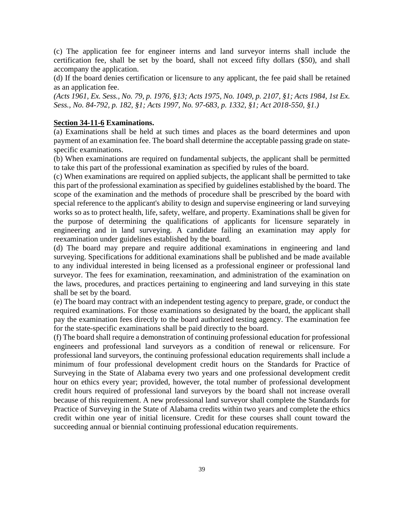(c) The application fee for engineer interns and land surveyor interns shall include the certification fee, shall be set by the board, shall not exceed fifty dollars (\$50), and shall accompany the application.

(d) If the board denies certification or licensure to any applicant, the fee paid shall be retained as an application fee.

*(Acts 1961, Ex. Sess., No. 79, p. 1976, §13; Acts 1975, No. 1049, p. 2107, §1; Acts 1984, 1st Ex. Sess., No. 84-792, p. 182, §1; Acts 1997, No. 97-683, p. 1332, §1; Act 2018-550, §1.)*

#### **Section 34-11-6 Examinations.**

(a) Examinations shall be held at such times and places as the board determines and upon payment of an examination fee. The board shall determine the acceptable passing grade on statespecific examinations.

(b) When examinations are required on fundamental subjects, the applicant shall be permitted to take this part of the professional examination as specified by rules of the board.

(c) When examinations are required on applied subjects, the applicant shall be permitted to take this part of the professional examination as specified by guidelines established by the board. The scope of the examination and the methods of procedure shall be prescribed by the board with special reference to the applicant's ability to design and supervise engineering or land surveying works so as to protect health, life, safety, welfare, and property. Examinations shall be given for the purpose of determining the qualifications of applicants for licensure separately in engineering and in land surveying. A candidate failing an examination may apply for reexamination under guidelines established by the board.

(d) The board may prepare and require additional examinations in engineering and land surveying. Specifications for additional examinations shall be published and be made available to any individual interested in being licensed as a professional engineer or professional land surveyor. The fees for examination, reexamination, and administration of the examination on the laws, procedures, and practices pertaining to engineering and land surveying in this state shall be set by the board.

(e) The board may contract with an independent testing agency to prepare, grade, or conduct the required examinations. For those examinations so designated by the board, the applicant shall pay the examination fees directly to the board authorized testing agency. The examination fee for the state-specific examinations shall be paid directly to the board.

(f) The board shall require a demonstration of continuing professional education for professional engineers and professional land surveyors as a condition of renewal or relicensure. For professional land surveyors, the continuing professional education requirements shall include a minimum of four professional development credit hours on the Standards for Practice of Surveying in the State of Alabama every two years and one professional development credit hour on ethics every year; provided, however, the total number of professional development credit hours required of professional land surveyors by the board shall not increase overall because of this requirement. A new professional land surveyor shall complete the Standards for Practice of Surveying in the State of Alabama credits within two years and complete the ethics credit within one year of initial licensure. Credit for these courses shall count toward the succeeding annual or biennial continuing professional education requirements.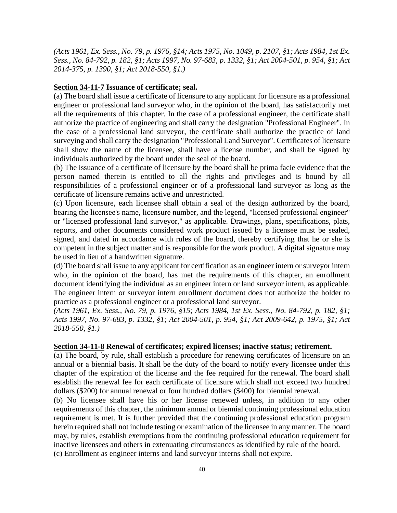*(Acts 1961, Ex. Sess., No. 79, p. 1976, §14; Acts 1975, No. 1049, p. 2107, §1; Acts 1984, 1st Ex. Sess., No. 84-792, p. 182, §1; Acts 1997, No. 97-683, p. 1332, §1; Act 2004-501, p. 954, §1; Act 2014-375, p. 1390, §1; Act 2018-550, §1.)*

### **Section 34-11-7 Issuance of certificate; seal.**

(a) The board shall issue a certificate of licensure to any applicant for licensure as a professional engineer or professional land surveyor who, in the opinion of the board, has satisfactorily met all the requirements of this chapter. In the case of a professional engineer, the certificate shall authorize the practice of engineering and shall carry the designation "Professional Engineer". In the case of a professional land surveyor, the certificate shall authorize the practice of land surveying and shall carry the designation "Professional Land Surveyor". Certificates of licensure shall show the name of the licensee, shall have a license number, and shall be signed by individuals authorized by the board under the seal of the board.

(b) The issuance of a certificate of licensure by the board shall be prima facie evidence that the person named therein is entitled to all the rights and privileges and is bound by all responsibilities of a professional engineer or of a professional land surveyor as long as the certificate of licensure remains active and unrestricted.

(c) Upon licensure, each licensee shall obtain a seal of the design authorized by the board, bearing the licensee's name, licensure number, and the legend, "licensed professional engineer" or "licensed professional land surveyor," as applicable. Drawings, plans, specifications, plats, reports, and other documents considered work product issued by a licensee must be sealed, signed, and dated in accordance with rules of the board, thereby certifying that he or she is competent in the subject matter and is responsible for the work product. A digital signature may be used in lieu of a handwritten signature.

(d) The board shall issue to any applicant for certification as an engineer intern or surveyor intern who, in the opinion of the board, has met the requirements of this chapter, an enrollment document identifying the individual as an engineer intern or land surveyor intern, as applicable. The engineer intern or surveyor intern enrollment document does not authorize the holder to practice as a professional engineer or a professional land surveyor.

*(Acts 1961, Ex. Sess., No. 79, p. 1976, §15; Acts 1984, 1st Ex. Sess., No. 84-792, p. 182, §1; Acts 1997, No. 97-683, p. 1332, §1; Act 2004-501, p. 954, §1; Act 2009-642, p. 1975, §1; Act 2018-550, §1.)*

### **Section 34-11-8 Renewal of certificates; expired licenses; inactive status; retirement.**

(a) The board, by rule, shall establish a procedure for renewing certificates of licensure on an annual or a biennial basis. It shall be the duty of the board to notify every licensee under this chapter of the expiration of the license and the fee required for the renewal. The board shall establish the renewal fee for each certificate of licensure which shall not exceed two hundred dollars (\$200) for annual renewal or four hundred dollars (\$400) for biennial renewal.

(b) No licensee shall have his or her license renewed unless, in addition to any other requirements of this chapter, the minimum annual or biennial continuing professional education requirement is met. It is further provided that the continuing professional education program herein required shall not include testing or examination of the licensee in any manner. The board may, by rules, establish exemptions from the continuing professional education requirement for inactive licensees and others in extenuating circumstances as identified by rule of the board. (c) Enrollment as engineer interns and land surveyor interns shall not expire.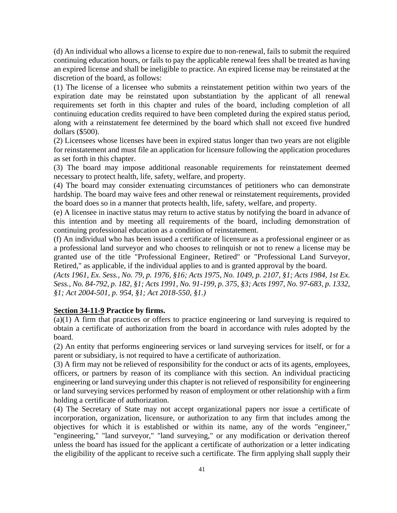(d) An individual who allows a license to expire due to non-renewal, fails to submit the required continuing education hours, or fails to pay the applicable renewal fees shall be treated as having an expired license and shall be ineligible to practice. An expired license may be reinstated at the discretion of the board, as follows:

(1) The license of a licensee who submits a reinstatement petition within two years of the expiration date may be reinstated upon substantiation by the applicant of all renewal requirements set forth in this chapter and rules of the board, including completion of all continuing education credits required to have been completed during the expired status period, along with a reinstatement fee determined by the board which shall not exceed five hundred dollars (\$500).

(2) Licensees whose licenses have been in expired status longer than two years are not eligible for reinstatement and must file an application for licensure following the application procedures as set forth in this chapter.

(3) The board may impose additional reasonable requirements for reinstatement deemed necessary to protect health, life, safety, welfare, and property.

(4) The board may consider extenuating circumstances of petitioners who can demonstrate hardship. The board may waive fees and other renewal or reinstatement requirements, provided the board does so in a manner that protects health, life, safety, welfare, and property.

(e) A licensee in inactive status may return to active status by notifying the board in advance of this intention and by meeting all requirements of the board, including demonstration of continuing professional education as a condition of reinstatement.

(f) An individual who has been issued a certificate of licensure as a professional engineer or as a professional land surveyor and who chooses to relinquish or not to renew a license may be granted use of the title "Professional Engineer, Retired" or "Professional Land Surveyor, Retired," as applicable, if the individual applies to and is granted approval by the board.

*(Acts 1961, Ex. Sess., No. 79, p. 1976, §16; Acts 1975, No. 1049, p. 2107, §1; Acts 1984, 1st Ex. Sess., No. 84-792, p. 182, §1; Acts 1991, No. 91-199, p. 375, §3; Acts 1997, No. 97-683, p. 1332, §1; Act 2004-501, p. 954, §1; Act 2018-550, §1.)*

### **Section 34-11-9 Practice by firms.**

(a)(1) A firm that practices or offers to practice engineering or land surveying is required to obtain a certificate of authorization from the board in accordance with rules adopted by the board.

(2) An entity that performs engineering services or land surveying services for itself, or for a parent or subsidiary, is not required to have a certificate of authorization.

(3) A firm may not be relieved of responsibility for the conduct or acts of its agents, employees, officers, or partners by reason of its compliance with this section. An individual practicing engineering or land surveying under this chapter is not relieved of responsibility for engineering or land surveying services performed by reason of employment or other relationship with a firm holding a certificate of authorization.

(4) The Secretary of State may not accept organizational papers nor issue a certificate of incorporation, organization, licensure, or authorization to any firm that includes among the objectives for which it is established or within its name, any of the words "engineer," "engineering," "land surveyor," "land surveying," or any modification or derivation thereof unless the board has issued for the applicant a certificate of authorization or a letter indicating the eligibility of the applicant to receive such a certificate. The firm applying shall supply their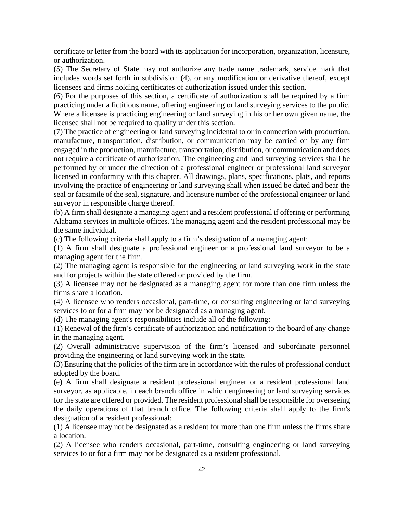certificate or letter from the board with its application for incorporation, organization, licensure, or authorization.

(5) The Secretary of State may not authorize any trade name trademark, service mark that includes words set forth in subdivision (4), or any modification or derivative thereof, except licensees and firms holding certificates of authorization issued under this section.

(6) For the purposes of this section, a certificate of authorization shall be required by a firm practicing under a fictitious name, offering engineering or land surveying services to the public. Where a licensee is practicing engineering or land surveying in his or her own given name, the licensee shall not be required to qualify under this section.

(7) The practice of engineering or land surveying incidental to or in connection with production, manufacture, transportation, distribution, or communication may be carried on by any firm engaged in the production, manufacture, transportation, distribution, or communication and does not require a certificate of authorization. The engineering and land surveying services shall be performed by or under the direction of a professional engineer or professional land surveyor licensed in conformity with this chapter. All drawings, plans, specifications, plats, and reports involving the practice of engineering or land surveying shall when issued be dated and bear the seal or facsimile of the seal, signature, and licensure number of the professional engineer or land surveyor in responsible charge thereof.

(b) A firm shall designate a managing agent and a resident professional if offering or performing Alabama services in multiple offices. The managing agent and the resident professional may be the same individual.

(c) The following criteria shall apply to a firm's designation of a managing agent:

(1) A firm shall designate a professional engineer or a professional land surveyor to be a managing agent for the firm.

(2) The managing agent is responsible for the engineering or land surveying work in the state and for projects within the state offered or provided by the firm.

(3) A licensee may not be designated as a managing agent for more than one firm unless the firms share a location.

(4) A licensee who renders occasional, part-time, or consulting engineering or land surveying services to or for a firm may not be designated as a managing agent.

(d) The managing agent's responsibilities include all of the following:

(1) Renewal of the firm's certificate of authorization and notification to the board of any change in the managing agent.

(2) Overall administrative supervision of the firm's licensed and subordinate personnel providing the engineering or land surveying work in the state.

(3) Ensuring that the policies of the firm are in accordance with the rules of professional conduct adopted by the board.

(e) A firm shall designate a resident professional engineer or a resident professional land surveyor, as applicable, in each branch office in which engineering or land surveying services for the state are offered or provided. The resident professional shall be responsible for overseeing the daily operations of that branch office. The following criteria shall apply to the firm's designation of a resident professional:

(1) A licensee may not be designated as a resident for more than one firm unless the firms share a location.

(2) A licensee who renders occasional, part-time, consulting engineering or land surveying services to or for a firm may not be designated as a resident professional.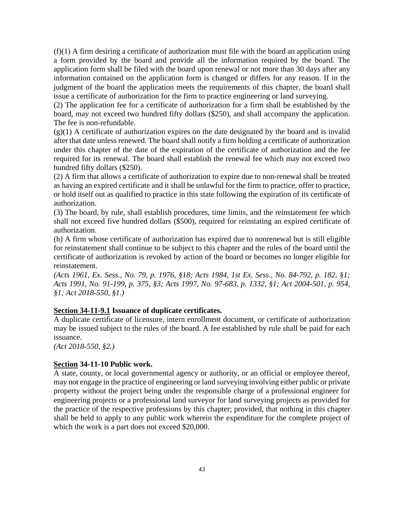$(f)(1)$  A firm desiring a certificate of authorization must file with the board an application using a form provided by the board and provide all the information required by the board. The application form shall be filed with the board upon renewal or not more than 30 days after any information contained on the application form is changed or differs for any reason. If in the judgment of the board the application meets the requirements of this chapter, the board shall issue a certificate of authorization for the firm to practice engineering or land surveying.

(2) The application fee for a certificate of authorization for a firm shall be established by the board, may not exceed two hundred fifty dollars (\$250), and shall accompany the application. The fee is non-refundable.

 $(g)(1)$  A certificate of authorization expires on the date designated by the board and is invalid after that date unless renewed. The board shall notify a firm holding a certificate of authorization under this chapter of the date of the expiration of the certificate of authorization and the fee required for its renewal. The board shall establish the renewal fee which may not exceed two hundred fifty dollars (\$250).

(2) A firm that allows a certificate of authorization to expire due to non-renewal shall be treated as having an expired certificate and it shall be unlawful for the firm to practice, offer to practice, or hold itself out as qualified to practice in this state following the expiration of its certificate of authorization.

(3) The board, by rule, shall establish procedures, time limits, and the reinstatement fee which shall not exceed five hundred dollars (\$500), required for reinstating an expired certificate of authorization.

(h) A firm whose certificate of authorization has expired due to nonrenewal but is still eligible for reinstatement shall continue to be subject to this chapter and the rules of the board until the certificate of authorization is revoked by action of the board or becomes no longer eligible for reinstatement.

*(Acts 1961, Ex. Sess., No. 79, p. 1976, §18; Acts 1984, 1st Ex. Sess., No. 84-792, p. 182, §1; Acts 1991, No. 91-199, p. 375, §3; Acts 1997, No. 97-683, p. 1332, §1; Act 2004-501, p. 954, §1; Act 2018-550, §1.)*

### **Section 34-11-9.1 Issuance of duplicate certificates.**

A duplicate certificate of licensure, intern enrollment document, or certificate of authorization may be issued subject to the rules of the board. A fee established by rule shall be paid for each issuance.

*(Act 2018-550, §2.)*

### **Section 34-11-10 Public work.**

A state, county, or local governmental agency or authority, or an official or employee thereof, may not engage in the practice of engineering or land surveying involving either public or private property without the project being under the responsible charge of a professional engineer for engineering projects or a professional land surveyor for land surveying projects as provided for the practice of the respective professions by this chapter; provided, that nothing in this chapter shall be held to apply to any public work wherein the expenditure for the complete project of which the work is a part does not exceed \$20,000.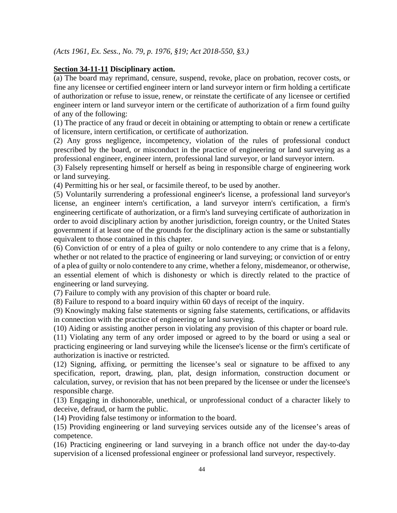*(Acts 1961, Ex. Sess., No. 79, p. 1976, §19; Act 2018-550, §3.)*

## **Section 34-11-11 Disciplinary action.**

(a) The board may reprimand, censure, suspend, revoke, place on probation, recover costs, or fine any licensee or certified engineer intern or land surveyor intern or firm holding a certificate of authorization or refuse to issue, renew, or reinstate the certificate of any licensee or certified engineer intern or land surveyor intern or the certificate of authorization of a firm found guilty of any of the following:

(1) The practice of any fraud or deceit in obtaining or attempting to obtain or renew a certificate of licensure, intern certification, or certificate of authorization.

(2) Any gross negligence, incompetency, violation of the rules of professional conduct prescribed by the board, or misconduct in the practice of engineering or land surveying as a professional engineer, engineer intern, professional land surveyor, or land surveyor intern.

(3) Falsely representing himself or herself as being in responsible charge of engineering work or land surveying.

(4) Permitting his or her seal, or facsimile thereof, to be used by another.

(5) Voluntarily surrendering a professional engineer's license, a professional land surveyor's license, an engineer intern's certification, a land surveyor intern's certification, a firm's engineering certificate of authorization, or a firm's land surveying certificate of authorization in order to avoid disciplinary action by another jurisdiction, foreign country, or the United States government if at least one of the grounds for the disciplinary action is the same or substantially equivalent to those contained in this chapter.

(6) Conviction of or entry of a plea of guilty or nolo contendere to any crime that is a felony, whether or not related to the practice of engineering or land surveying; or conviction of or entry of a plea of guilty or nolo contendere to any crime, whether a felony, misdemeanor, or otherwise, an essential element of which is dishonesty or which is directly related to the practice of engineering or land surveying.

(7) Failure to comply with any provision of this chapter or board rule.

(8) Failure to respond to a board inquiry within 60 days of receipt of the inquiry.

(9) Knowingly making false statements or signing false statements, certifications, or affidavits in connection with the practice of engineering or land surveying.

(10) Aiding or assisting another person in violating any provision of this chapter or board rule.

(11) Violating any term of any order imposed or agreed to by the board or using a seal or practicing engineering or land surveying while the licensee's license or the firm's certificate of authorization is inactive or restricted.

(12) Signing, affixing, or permitting the licensee's seal or signature to be affixed to any specification, report, drawing, plan, plat, design information, construction document or calculation, survey, or revision that has not been prepared by the licensee or under the licensee's responsible charge.

(13) Engaging in dishonorable, unethical, or unprofessional conduct of a character likely to deceive, defraud, or harm the public.

(14) Providing false testimony or information to the board.

(15) Providing engineering or land surveying services outside any of the licensee's areas of competence.

(16) Practicing engineering or land surveying in a branch office not under the day-to-day supervision of a licensed professional engineer or professional land surveyor, respectively.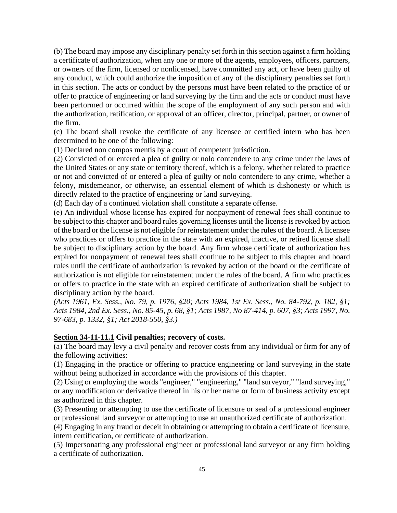(b) The board may impose any disciplinary penalty set forth in this section against a firm holding a certificate of authorization, when any one or more of the agents, employees, officers, partners, or owners of the firm, licensed or nonlicensed, have committed any act, or have been guilty of any conduct, which could authorize the imposition of any of the disciplinary penalties set forth in this section. The acts or conduct by the persons must have been related to the practice of or offer to practice of engineering or land surveying by the firm and the acts or conduct must have been performed or occurred within the scope of the employment of any such person and with the authorization, ratification, or approval of an officer, director, principal, partner, or owner of the firm.

(c) The board shall revoke the certificate of any licensee or certified intern who has been determined to be one of the following:

(1) Declared non compos mentis by a court of competent jurisdiction.

(2) Convicted of or entered a plea of guilty or nolo contendere to any crime under the laws of the United States or any state or territory thereof, which is a felony, whether related to practice or not and convicted of or entered a plea of guilty or nolo contendere to any crime, whether a felony, misdemeanor, or otherwise, an essential element of which is dishonesty or which is directly related to the practice of engineering or land surveying.

(d) Each day of a continued violation shall constitute a separate offense.

(e) An individual whose license has expired for nonpayment of renewal fees shall continue to be subject to this chapter and board rules governing licenses until the license is revoked by action of the board or the license is not eligible for reinstatement under the rules of the board. A licensee who practices or offers to practice in the state with an expired, inactive, or retired license shall be subject to disciplinary action by the board. Any firm whose certificate of authorization has expired for nonpayment of renewal fees shall continue to be subject to this chapter and board rules until the certificate of authorization is revoked by action of the board or the certificate of authorization is not eligible for reinstatement under the rules of the board. A firm who practices or offers to practice in the state with an expired certificate of authorization shall be subject to disciplinary action by the board.

*(Acts 1961, Ex. Sess., No. 79, p. 1976, §20; Acts 1984, 1st Ex. Sess., No. 84-792, p. 182, §1; Acts 1984, 2nd Ex. Sess., No. 85-45, p. 68, §1; Acts 1987, No 87-414, p. 607, §3; Acts 1997, No. 97-683, p. 1332, §1; Act 2018-550, §3.)*

#### **Section 34-11-11.1 Civil penalties; recovery of costs.**

(a) The board may levy a civil penalty and recover costs from any individual or firm for any of the following activities:

(1) Engaging in the practice or offering to practice engineering or land surveying in the state without being authorized in accordance with the provisions of this chapter.

(2) Using or employing the words "engineer," "engineering," "land surveyor," "land surveying," or any modification or derivative thereof in his or her name or form of business activity except as authorized in this chapter.

(3) Presenting or attempting to use the certificate of licensure or seal of a professional engineer or professional land surveyor or attempting to use an unauthorized certificate of authorization.

(4) Engaging in any fraud or deceit in obtaining or attempting to obtain a certificate of licensure, intern certification, or certificate of authorization.

(5) Impersonating any professional engineer or professional land surveyor or any firm holding a certificate of authorization.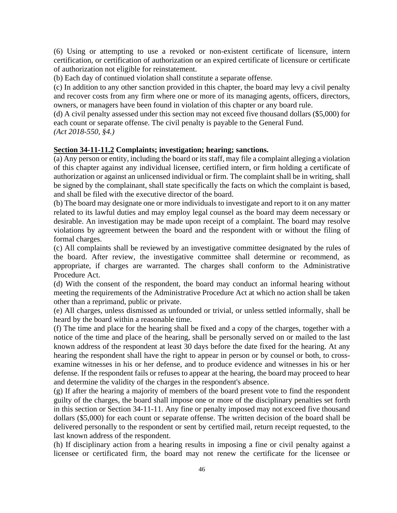(6) Using or attempting to use a revoked or non-existent certificate of licensure, intern certification, or certification of authorization or an expired certificate of licensure or certificate of authorization not eligible for reinstatement.

(b) Each day of continued violation shall constitute a separate offense.

(c) In addition to any other sanction provided in this chapter, the board may levy a civil penalty and recover costs from any firm where one or more of its managing agents, officers, directors, owners, or managers have been found in violation of this chapter or any board rule.

(d) A civil penalty assessed under this section may not exceed five thousand dollars (\$5,000) for each count or separate offense. The civil penalty is payable to the General Fund. *(Act 2018-550, §4.)*

### **Section 34-11-11.2 Complaints; investigation; hearing; sanctions.**

(a) Any person or entity, including the board or its staff, may file a complaint alleging a violation of this chapter against any individual licensee, certified intern, or firm holding a certificate of authorization or against an unlicensed individual or firm. The complaint shall be in writing, shall be signed by the complainant, shall state specifically the facts on which the complaint is based, and shall be filed with the executive director of the board.

(b) The board may designate one or more individuals to investigate and report to it on any matter related to its lawful duties and may employ legal counsel as the board may deem necessary or desirable. An investigation may be made upon receipt of a complaint. The board may resolve violations by agreement between the board and the respondent with or without the filing of formal charges.

(c) All complaints shall be reviewed by an investigative committee designated by the rules of the board. After review, the investigative committee shall determine or recommend, as appropriate, if charges are warranted. The charges shall conform to the Administrative Procedure Act.

(d) With the consent of the respondent, the board may conduct an informal hearing without meeting the requirements of the Administrative Procedure Act at which no action shall be taken other than a reprimand, public or private.

(e) All charges, unless dismissed as unfounded or trivial, or unless settled informally, shall be heard by the board within a reasonable time.

(f) The time and place for the hearing shall be fixed and a copy of the charges, together with a notice of the time and place of the hearing, shall be personally served on or mailed to the last known address of the respondent at least 30 days before the date fixed for the hearing. At any hearing the respondent shall have the right to appear in person or by counsel or both, to crossexamine witnesses in his or her defense, and to produce evidence and witnesses in his or her defense. If the respondent fails or refuses to appear at the hearing, the board may proceed to hear and determine the validity of the charges in the respondent's absence.

(g) If after the hearing a majority of members of the board present vote to find the respondent guilty of the charges, the board shall impose one or more of the disciplinary penalties set forth in this section or Section 34-11-11. Any fine or penalty imposed may not exceed five thousand dollars (\$5,000) for each count or separate offense. The written decision of the board shall be delivered personally to the respondent or sent by certified mail, return receipt requested, to the last known address of the respondent.

(h) If disciplinary action from a hearing results in imposing a fine or civil penalty against a licensee or certificated firm, the board may not renew the certificate for the licensee or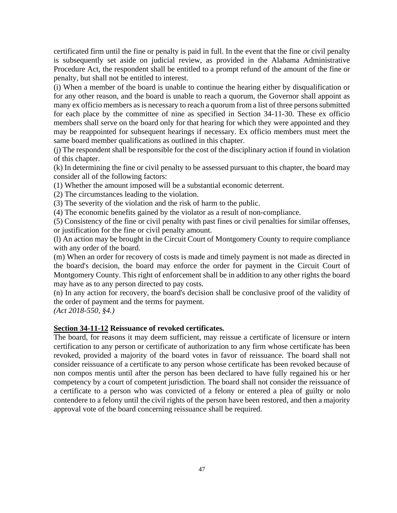certificated firm until the fine or penalty is paid in full. In the event that the fine or civil penalty is subsequently set aside on judicial review, as provided in the Alabama Administrative Procedure Act, the respondent shall be entitled to a prompt refund of the amount of the fine or penalty, but shall not be entitled to interest.

(i) When a member of the board is unable to continue the hearing either by disqualification or for any other reason, and the board is unable to reach a quorum, the Governor shall appoint as many ex officio members as is necessary to reach a quorum from a list of three persons submitted for each place by the committee of nine as specified in Section 34-11-30. These ex officio members shall serve on the board only for that hearing for which they were appointed and they may be reappointed for subsequent hearings if necessary. Ex officio members must meet the same board member qualifications as outlined in this chapter.

(j) The respondent shall be responsible for the cost of the disciplinary action if found in violation of this chapter.

(k) In determining the fine or civil penalty to be assessed pursuant to this chapter, the board may consider all of the following factors:

(1) Whether the amount imposed will be a substantial economic deterrent.

(2) The circumstances leading to the violation.

(3) The severity of the violation and the risk of harm to the public.

(4) The economic benefits gained by the violator as a result of non-compliance.

(5) Consistency of the fine or civil penalty with past fines or civil penalties for similar offenses, or justification for the fine or civil penalty amount.

(l) An action may be brought in the Circuit Court of Montgomery County to require compliance with any order of the board.

(m) When an order for recovery of costs is made and timely payment is not made as directed in the board's decision, the board may enforce the order for payment in the Circuit Court of Montgomery County. This right of enforcement shall be in addition to any other rights the board may have as to any person directed to pay costs.

(n) In any action for recovery, the board's decision shall be conclusive proof of the validity of the order of payment and the terms for payment.

*(Act 2018-550, §4.)*

## **Section 34-11-12 Reissuance of revoked certificates.**

The board, for reasons it may deem sufficient, may reissue a certificate of licensure or intern certification to any person or certificate of authorization to any firm whose certificate has been revoked, provided a majority of the board votes in favor of reissuance. The board shall not consider reissuance of a certificate to any person whose certificate has been revoked because of non compos mentis until after the person has been declared to have fully regained his or her competency by a court of competent jurisdiction. The board shall not consider the reissuance of a certificate to a person who was convicted of a felony or entered a plea of guilty or nolo contendere to a felony until the civil rights of the person have been restored, and then a majority approval vote of the board concerning reissuance shall be required.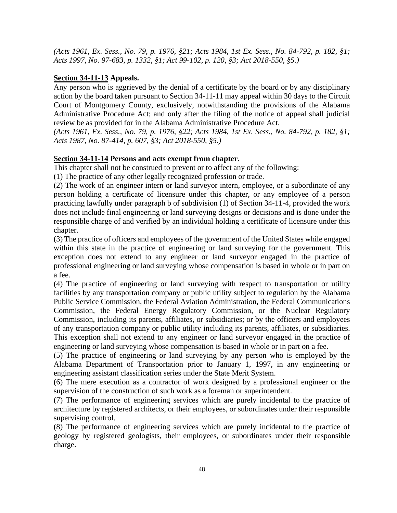*(Acts 1961, Ex. Sess., No. 79, p. 1976, §21; Acts 1984, 1st Ex. Sess., No. 84-792, p. 182, §1; Acts 1997, No. 97-683, p. 1332, §1; Act 99-102, p. 120, §3; Act 2018-550, §5.)*

## **Section 34-11-13 Appeals.**

Any person who is aggrieved by the denial of a certificate by the board or by any disciplinary action by the board taken pursuant to Section 34-11-11 may appeal within 30 days to the Circuit Court of Montgomery County, exclusively, notwithstanding the provisions of the Alabama Administrative Procedure Act; and only after the filing of the notice of appeal shall judicial review be as provided for in the Alabama Administrative Procedure Act.

*(Acts 1961, Ex. Sess., No. 79, p. 1976, §22; Acts 1984, 1st Ex. Sess., No. 84-792, p. 182, §1; Acts 1987, No. 87-414, p. 607, §3; Act 2018-550, §5.)*

## **Section 34-11-14 Persons and acts exempt from chapter.**

This chapter shall not be construed to prevent or to affect any of the following:

(1) The practice of any other legally recognized profession or trade.

(2) The work of an engineer intern or land surveyor intern, employee, or a subordinate of any person holding a certificate of licensure under this chapter, or any employee of a person practicing lawfully under paragraph b of subdivision (1) of Section 34-11-4, provided the work does not include final engineering or land surveying designs or decisions and is done under the responsible charge of and verified by an individual holding a certificate of licensure under this chapter.

(3) The practice of officers and employees of the government of the United States while engaged within this state in the practice of engineering or land surveying for the government. This exception does not extend to any engineer or land surveyor engaged in the practice of professional engineering or land surveying whose compensation is based in whole or in part on a fee.

(4) The practice of engineering or land surveying with respect to transportation or utility facilities by any transportation company or public utility subject to regulation by the Alabama Public Service Commission, the Federal Aviation Administration, the Federal Communications Commission, the Federal Energy Regulatory Commission, or the Nuclear Regulatory Commission, including its parents, affiliates, or subsidiaries; or by the officers and employees of any transportation company or public utility including its parents, affiliates, or subsidiaries. This exception shall not extend to any engineer or land surveyor engaged in the practice of engineering or land surveying whose compensation is based in whole or in part on a fee.

(5) The practice of engineering or land surveying by any person who is employed by the Alabama Department of Transportation prior to January 1, 1997, in any engineering or engineering assistant classification series under the State Merit System.

(6) The mere execution as a contractor of work designed by a professional engineer or the supervision of the construction of such work as a foreman or superintendent.

(7) The performance of engineering services which are purely incidental to the practice of architecture by registered architects, or their employees, or subordinates under their responsible supervising control.

(8) The performance of engineering services which are purely incidental to the practice of geology by registered geologists, their employees, or subordinates under their responsible charge.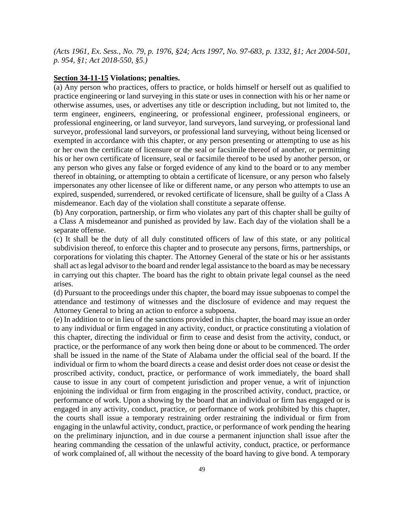*(Acts 1961, Ex. Sess., No. 79, p. 1976, §24; Acts 1997, No. 97-683, p. 1332, §1; Act 2004-501, p. 954, §1; Act 2018-550, §5.)*

#### **Section 34-11-15 Violations; penalties.**

(a) Any person who practices, offers to practice, or holds himself or herself out as qualified to practice engineering or land surveying in this state or uses in connection with his or her name or otherwise assumes, uses, or advertises any title or description including, but not limited to, the term engineer, engineers, engineering, or professional engineer, professional engineers, or professional engineering, or land surveyor, land surveyors, land surveying, or professional land surveyor, professional land surveyors, or professional land surveying, without being licensed or exempted in accordance with this chapter, or any person presenting or attempting to use as his or her own the certificate of licensure or the seal or facsimile thereof of another, or permitting his or her own certificate of licensure, seal or facsimile thereof to be used by another person, or any person who gives any false or forged evidence of any kind to the board or to any member thereof in obtaining, or attempting to obtain a certificate of licensure, or any person who falsely impersonates any other licensee of like or different name, or any person who attempts to use an expired, suspended, surrendered, or revoked certificate of licensure, shall be guilty of a Class A misdemeanor. Each day of the violation shall constitute a separate offense.

(b) Any corporation, partnership, or firm who violates any part of this chapter shall be guilty of a Class A misdemeanor and punished as provided by law. Each day of the violation shall be a separate offense.

(c) It shall be the duty of all duly constituted officers of law of this state, or any political subdivision thereof, to enforce this chapter and to prosecute any persons, firms, partnerships, or corporations for violating this chapter. The Attorney General of the state or his or her assistants shall act as legal advisor to the board and render legal assistance to the board as may be necessary in carrying out this chapter. The board has the right to obtain private legal counsel as the need arises.

(d) Pursuant to the proceedings under this chapter, the board may issue subpoenas to compel the attendance and testimony of witnesses and the disclosure of evidence and may request the Attorney General to bring an action to enforce a subpoena.

(e) In addition to or in lieu of the sanctions provided in this chapter, the board may issue an order to any individual or firm engaged in any activity, conduct, or practice constituting a violation of this chapter, directing the individual or firm to cease and desist from the activity, conduct, or practice, or the performance of any work then being done or about to be commenced. The order shall be issued in the name of the State of Alabama under the official seal of the board. If the individual or firm to whom the board directs a cease and desist order does not cease or desist the proscribed activity, conduct, practice, or performance of work immediately, the board shall cause to issue in any court of competent jurisdiction and proper venue, a writ of injunction enjoining the individual or firm from engaging in the proscribed activity, conduct, practice, or performance of work. Upon a showing by the board that an individual or firm has engaged or is engaged in any activity, conduct, practice, or performance of work prohibited by this chapter, the courts shall issue a temporary restraining order restraining the individual or firm from engaging in the unlawful activity, conduct, practice, or performance of work pending the hearing on the preliminary injunction, and in due course a permanent injunction shall issue after the hearing commanding the cessation of the unlawful activity, conduct, practice, or performance of work complained of, all without the necessity of the board having to give bond. A temporary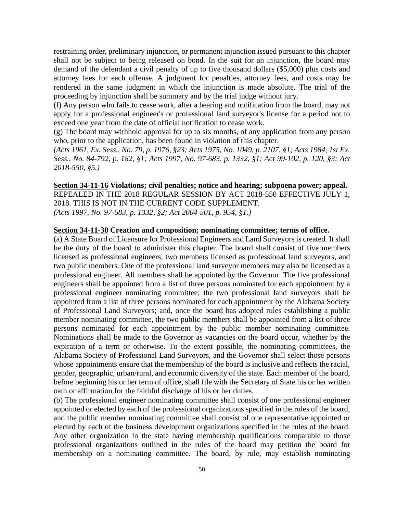restraining order, preliminary injunction, or permanent injunction issued pursuant to this chapter shall not be subject to being released on bond. In the suit for an injunction, the board may demand of the defendant a civil penalty of up to five thousand dollars (\$5,000) plus costs and attorney fees for each offense. A judgment for penalties, attorney fees, and costs may be rendered in the same judgment in which the injunction is made absolute. The trial of the proceeding by injunction shall be summary and by the trial judge without jury.

(f) Any person who fails to cease work, after a hearing and notification from the board, may not apply for a professional engineer's or professional land surveyor's license for a period not to exceed one year from the date of official notification to cease work.

(g) The board may withhold approval for up to six months, of any application from any person who, prior to the application, has been found in violation of this chapter.

*(Acts 1961, Ex. Sess., No. 79, p. 1976, §23; Acts 1975, No. 1049, p. 2107, §1; Acts 1984, 1st Ex. Sess., No. 84-792, p. 182, §1; Acts 1997, No. 97-683, p. 1332, §1; Act 99-102, p. 120, §3; Act 2018-550, §5.)*

**Section 34-11-16 Violations; civil penalties; notice and hearing; subpoena power; appeal.** REPEALED IN THE 2018 REGULAR SESSION BY ACT 2018-550 EFFECTIVE JULY 1, 2018. THIS IS NOT IN THE CURRENT CODE SUPPLEMENT. *(Acts 1997, No. 97-683, p. 1332, §2; Act 2004-501, p. 954, §1.)*

#### **Section 34-11-30 Creation and composition; nominating committee; terms of office.**

(a) A State Board of Licensure for Professional Engineers and Land Surveyors is created. It shall be the duty of the board to administer this chapter. The board shall consist of five members licensed as professional engineers, two members licensed as professional land surveyors, and two public members. One of the professional land surveyor members may also be licensed as a professional engineer. All members shall be appointed by the Governor. The five professional engineers shall be appointed from a list of three persons nominated for each appointment by a professional engineer nominating committee; the two professional land surveyors shall be appointed from a list of three persons nominated for each appointment by the Alabama Society of Professional Land Surveyors; and, once the board has adopted rules establishing a public member nominating committee, the two public members shall be appointed from a list of three persons nominated for each appointment by the public member nominating committee. Nominations shall be made to the Governor as vacancies on the board occur, whether by the expiration of a term or otherwise. To the extent possible, the nominating committees, the Alabama Society of Professional Land Surveyors, and the Governor shall select those persons whose appointments ensure that the membership of the board is inclusive and reflects the racial, gender, geographic, urban/rural, and economic diversity of the state. Each member of the board, before beginning his or her term of office, shall file with the Secretary of State his or her written oath or affirmation for the faithful discharge of his or her duties.

(b) The professional engineer nominating committee shall consist of one professional engineer appointed or elected by each of the professional organizations specified in the rules of the board, and the public member nominating committee shall consist of one representative appointed or elected by each of the business development organizations specified in the rules of the board. Any other organization in the state having membership qualifications comparable to those professional organizations outlined in the rules of the board may petition the board for membership on a nominating committee. The board, by rule, may establish nominating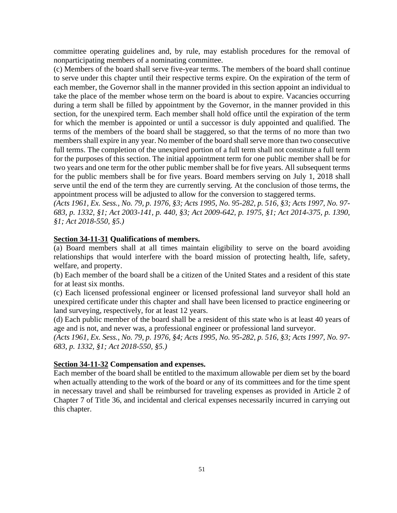committee operating guidelines and, by rule, may establish procedures for the removal of nonparticipating members of a nominating committee.

(c) Members of the board shall serve five-year terms. The members of the board shall continue to serve under this chapter until their respective terms expire. On the expiration of the term of each member, the Governor shall in the manner provided in this section appoint an individual to take the place of the member whose term on the board is about to expire. Vacancies occurring during a term shall be filled by appointment by the Governor, in the manner provided in this section, for the unexpired term. Each member shall hold office until the expiration of the term for which the member is appointed or until a successor is duly appointed and qualified. The terms of the members of the board shall be staggered, so that the terms of no more than two members shall expire in any year. No member of the board shall serve more than two consecutive full terms. The completion of the unexpired portion of a full term shall not constitute a full term for the purposes of this section. The initial appointment term for one public member shall be for two years and one term for the other public member shall be for five years. All subsequent terms for the public members shall be for five years. Board members serving on July 1, 2018 shall serve until the end of the term they are currently serving. At the conclusion of those terms, the appointment process will be adjusted to allow for the conversion to staggered terms.

*(Acts 1961, Ex. Sess., No. 79, p. 1976, §3; Acts 1995, No. 95-282, p. 516, §3; Acts 1997, No. 97- 683, p. 1332, §1; Act 2003-141, p. 440, §3; Act 2009-642, p. 1975, §1; Act 2014-375, p. 1390, §1; Act 2018-550, §5.)*

### **Section 34-11-31 Qualifications of members.**

(a) Board members shall at all times maintain eligibility to serve on the board avoiding relationships that would interfere with the board mission of protecting health, life, safety, welfare, and property.

(b) Each member of the board shall be a citizen of the United States and a resident of this state for at least six months.

(c) Each licensed professional engineer or licensed professional land surveyor shall hold an unexpired certificate under this chapter and shall have been licensed to practice engineering or land surveying, respectively, for at least 12 years.

(d) Each public member of the board shall be a resident of this state who is at least 40 years of age and is not, and never was, a professional engineer or professional land surveyor.

*(Acts 1961, Ex. Sess., No. 79, p. 1976, §4; Acts 1995, No. 95-282, p. 516, §3; Acts 1997, No. 97- 683, p. 1332, §1; Act 2018-550, §5.)*

### **Section 34-11-32 Compensation and expenses.**

Each member of the board shall be entitled to the maximum allowable per diem set by the board when actually attending to the work of the board or any of its committees and for the time spent in necessary travel and shall be reimbursed for traveling expenses as provided in Article 2 of Chapter 7 of Title 36, and incidental and clerical expenses necessarily incurred in carrying out this chapter.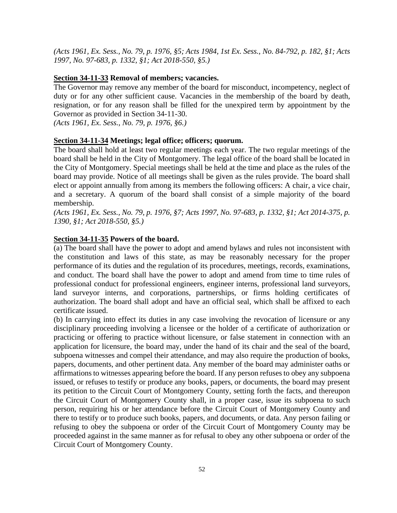*(Acts 1961, Ex. Sess., No. 79, p. 1976, §5; Acts 1984, 1st Ex. Sess., No. 84-792, p. 182, §1; Acts 1997, No. 97-683, p. 1332, §1; Act 2018-550, §5.)*

#### **Section 34-11-33 Removal of members; vacancies.**

The Governor may remove any member of the board for misconduct, incompetency, neglect of duty or for any other sufficient cause. Vacancies in the membership of the board by death, resignation, or for any reason shall be filled for the unexpired term by appointment by the Governor as provided in Section 34-11-30.

*(Acts 1961, Ex. Sess., No. 79, p. 1976, §6.)*

#### **Section 34-11-34 Meetings; legal office; officers; quorum.**

The board shall hold at least two regular meetings each year. The two regular meetings of the board shall be held in the City of Montgomery. The legal office of the board shall be located in the City of Montgomery. Special meetings shall be held at the time and place as the rules of the board may provide. Notice of all meetings shall be given as the rules provide. The board shall elect or appoint annually from among its members the following officers: A chair, a vice chair, and a secretary. A quorum of the board shall consist of a simple majority of the board membership.

*(Acts 1961, Ex. Sess., No. 79, p. 1976, §7; Acts 1997, No. 97-683, p. 1332, §1; Act 2014-375, p. 1390, §1; Act 2018-550, §5.)*

#### **Section 34-11-35 Powers of the board.**

(a) The board shall have the power to adopt and amend bylaws and rules not inconsistent with the constitution and laws of this state, as may be reasonably necessary for the proper performance of its duties and the regulation of its procedures, meetings, records, examinations, and conduct. The board shall have the power to adopt and amend from time to time rules of professional conduct for professional engineers, engineer interns, professional land surveyors, land surveyor interns, and corporations, partnerships, or firms holding certificates of authorization. The board shall adopt and have an official seal, which shall be affixed to each certificate issued.

(b) In carrying into effect its duties in any case involving the revocation of licensure or any disciplinary proceeding involving a licensee or the holder of a certificate of authorization or practicing or offering to practice without licensure, or false statement in connection with an application for licensure, the board may, under the hand of its chair and the seal of the board, subpoena witnesses and compel their attendance, and may also require the production of books, papers, documents, and other pertinent data. Any member of the board may administer oaths or affirmations to witnesses appearing before the board. If any person refuses to obey any subpoena issued, or refuses to testify or produce any books, papers, or documents, the board may present its petition to the Circuit Court of Montgomery County, setting forth the facts, and thereupon the Circuit Court of Montgomery County shall, in a proper case, issue its subpoena to such person, requiring his or her attendance before the Circuit Court of Montgomery County and there to testify or to produce such books, papers, and documents, or data. Any person failing or refusing to obey the subpoena or order of the Circuit Court of Montgomery County may be proceeded against in the same manner as for refusal to obey any other subpoena or order of the Circuit Court of Montgomery County.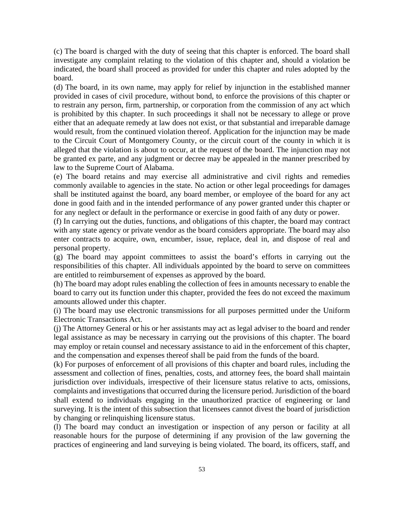(c) The board is charged with the duty of seeing that this chapter is enforced. The board shall investigate any complaint relating to the violation of this chapter and, should a violation be indicated, the board shall proceed as provided for under this chapter and rules adopted by the board.

(d) The board, in its own name, may apply for relief by injunction in the established manner provided in cases of civil procedure, without bond, to enforce the provisions of this chapter or to restrain any person, firm, partnership, or corporation from the commission of any act which is prohibited by this chapter. In such proceedings it shall not be necessary to allege or prove either that an adequate remedy at law does not exist, or that substantial and irreparable damage would result, from the continued violation thereof. Application for the injunction may be made to the Circuit Court of Montgomery County, or the circuit court of the county in which it is alleged that the violation is about to occur, at the request of the board. The injunction may not be granted ex parte, and any judgment or decree may be appealed in the manner prescribed by law to the Supreme Court of Alabama.

(e) The board retains and may exercise all administrative and civil rights and remedies commonly available to agencies in the state. No action or other legal proceedings for damages shall be instituted against the board, any board member, or employee of the board for any act done in good faith and in the intended performance of any power granted under this chapter or for any neglect or default in the performance or exercise in good faith of any duty or power.

(f) In carrying out the duties, functions, and obligations of this chapter, the board may contract with any state agency or private vendor as the board considers appropriate. The board may also enter contracts to acquire, own, encumber, issue, replace, deal in, and dispose of real and personal property.

(g) The board may appoint committees to assist the board's efforts in carrying out the responsibilities of this chapter. All individuals appointed by the board to serve on committees are entitled to reimbursement of expenses as approved by the board.

(h) The board may adopt rules enabling the collection of fees in amounts necessary to enable the board to carry out its function under this chapter, provided the fees do not exceed the maximum amounts allowed under this chapter.

(i) The board may use electronic transmissions for all purposes permitted under the Uniform Electronic Transactions Act.

(j) The Attorney General or his or her assistants may act as legal adviser to the board and render legal assistance as may be necessary in carrying out the provisions of this chapter. The board may employ or retain counsel and necessary assistance to aid in the enforcement of this chapter, and the compensation and expenses thereof shall be paid from the funds of the board.

(k) For purposes of enforcement of all provisions of this chapter and board rules, including the assessment and collection of fines, penalties, costs, and attorney fees, the board shall maintain jurisdiction over individuals, irrespective of their licensure status relative to acts, omissions, complaints and investigations that occurred during the licensure period. Jurisdiction of the board shall extend to individuals engaging in the unauthorized practice of engineering or land surveying. It is the intent of this subsection that licensees cannot divest the board of jurisdiction by changing or relinquishing licensure status.

(l) The board may conduct an investigation or inspection of any person or facility at all reasonable hours for the purpose of determining if any provision of the law governing the practices of engineering and land surveying is being violated. The board, its officers, staff, and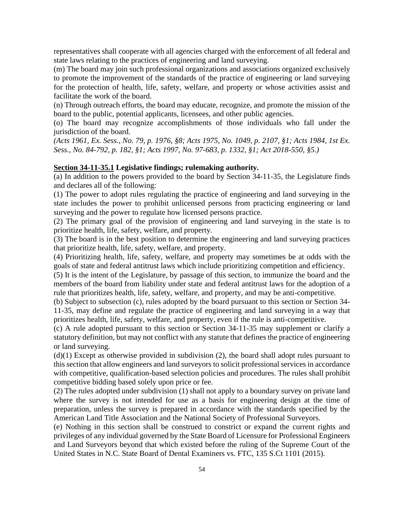representatives shall cooperate with all agencies charged with the enforcement of all federal and state laws relating to the practices of engineering and land surveying.

(m) The board may join such professional organizations and associations organized exclusively to promote the improvement of the standards of the practice of engineering or land surveying for the protection of health, life, safety, welfare, and property or whose activities assist and facilitate the work of the board.

(n) Through outreach efforts, the board may educate, recognize, and promote the mission of the board to the public, potential applicants, licensees, and other public agencies.

(o) The board may recognize accomplishments of those individuals who fall under the jurisdiction of the board.

*(Acts 1961, Ex. Sess., No. 79, p. 1976, §8; Acts 1975, No. 1049, p. 2107, §1; Acts 1984, 1st Ex. Sess., No. 84-792, p. 182, §1; Acts 1997, No. 97-683, p. 1332, §1; Act 2018-550, §5.)*

#### **Section 34-11-35.1 Legislative findings; rulemaking authority.**

(a) In addition to the powers provided to the board by Section 34-11-35, the Legislature finds and declares all of the following:

(1) The power to adopt rules regulating the practice of engineering and land surveying in the state includes the power to prohibit unlicensed persons from practicing engineering or land surveying and the power to regulate how licensed persons practice.

(2) The primary goal of the provision of engineering and land surveying in the state is to prioritize health, life, safety, welfare, and property.

(3) The board is in the best position to determine the engineering and land surveying practices that prioritize health, life, safety, welfare, and property.

(4) Prioritizing health, life, safety, welfare, and property may sometimes be at odds with the goals of state and federal antitrust laws which include prioritizing competition and efficiency.

(5) It is the intent of the Legislature, by passage of this section, to immunize the board and the members of the board from liability under state and federal antitrust laws for the adoption of a rule that prioritizes health, life, safety, welfare, and property, and may be anti-competitive.

(b) Subject to subsection (c), rules adopted by the board pursuant to this section or Section 34- 11-35, may define and regulate the practice of engineering and land surveying in a way that prioritizes health, life, safety, welfare, and property, even if the rule is anti-competitive.

(c) A rule adopted pursuant to this section or Section 34-11-35 may supplement or clarify a statutory definition, but may not conflict with any statute that defines the practice of engineering or land surveying.

(d)(1) Except as otherwise provided in subdivision (2), the board shall adopt rules pursuant to this section that allow engineers and land surveyors to solicit professional services in accordance with competitive, qualification-based selection policies and procedures. The rules shall prohibit competitive bidding based solely upon price or fee.

(2) The rules adopted under subdivision (1) shall not apply to a boundary survey on private land where the survey is not intended for use as a basis for engineering design at the time of preparation, unless the survey is prepared in accordance with the standards specified by the American Land Title Association and the National Society of Professional Surveyors.

(e) Nothing in this section shall be construed to constrict or expand the current rights and privileges of any individual governed by the State Board of Licensure for Professional Engineers and Land Surveyors beyond that which existed before the ruling of the Supreme Court of the United States in N.C. State Board of Dental Examiners vs. FTC, 135 S.Ct 1101 (2015).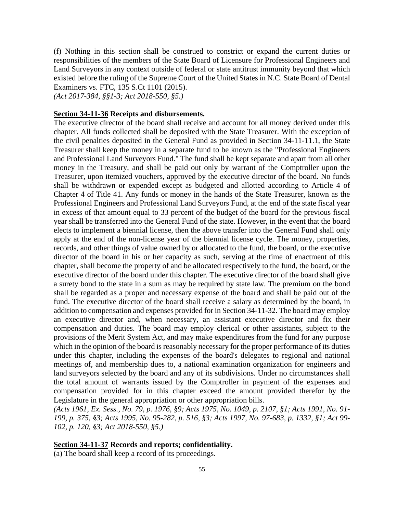(f) Nothing in this section shall be construed to constrict or expand the current duties or responsibilities of the members of the State Board of Licensure for Professional Engineers and Land Surveyors in any context outside of federal or state antitrust immunity beyond that which existed before the ruling of the Supreme Court of the United States in N.C. State Board of Dental Examiners vs. FTC, 135 S.Ct 1101 (2015). *(Act 2017-384, §§1-3; Act 2018-550, §5.)*

## **Section 34-11-36 Receipts and disbursements.**

The executive director of the board shall receive and account for all money derived under this chapter. All funds collected shall be deposited with the State Treasurer. With the exception of the civil penalties deposited in the General Fund as provided in Section 34-11-11.1, the State Treasurer shall keep the money in a separate fund to be known as the "Professional Engineers and Professional Land Surveyors Fund." The fund shall be kept separate and apart from all other money in the Treasury, and shall be paid out only by warrant of the Comptroller upon the Treasurer, upon itemized vouchers, approved by the executive director of the board. No funds shall be withdrawn or expended except as budgeted and allotted according to Article 4 of Chapter 4 of Title 41. Any funds or money in the hands of the State Treasurer, known as the Professional Engineers and Professional Land Surveyors Fund, at the end of the state fiscal year in excess of that amount equal to 33 percent of the budget of the board for the previous fiscal year shall be transferred into the General Fund of the state. However, in the event that the board elects to implement a biennial license, then the above transfer into the General Fund shall only apply at the end of the non-license year of the biennial license cycle. The money, properties, records, and other things of value owned by or allocated to the fund, the board, or the executive director of the board in his or her capacity as such, serving at the time of enactment of this chapter, shall become the property of and be allocated respectively to the fund, the board, or the executive director of the board under this chapter. The executive director of the board shall give a surety bond to the state in a sum as may be required by state law. The premium on the bond shall be regarded as a proper and necessary expense of the board and shall be paid out of the fund. The executive director of the board shall receive a salary as determined by the board, in addition to compensation and expenses provided for in Section 34-11-32. The board may employ an executive director and, when necessary, an assistant executive director and fix their compensation and duties. The board may employ clerical or other assistants, subject to the provisions of the Merit System Act, and may make expenditures from the fund for any purpose which in the opinion of the board is reasonably necessary for the proper performance of its duties under this chapter, including the expenses of the board's delegates to regional and national meetings of, and membership dues to, a national examination organization for engineers and land surveyors selected by the board and any of its subdivisions. Under no circumstances shall the total amount of warrants issued by the Comptroller in payment of the expenses and compensation provided for in this chapter exceed the amount provided therefor by the Legislature in the general appropriation or other appropriation bills.

*(Acts 1961, Ex. Sess., No. 79, p. 1976, §9; Acts 1975, No. 1049, p. 2107, §1; Acts 1991, No. 91- 199, p. 375, §3; Acts 1995, No. 95-282, p. 516, §3; Acts 1997, No. 97-683, p. 1332, §1; Act 99- 102, p. 120, §3; Act 2018-550, §5.)*

### **Section 34-11-37 Records and reports; confidentiality.**

(a) The board shall keep a record of its proceedings.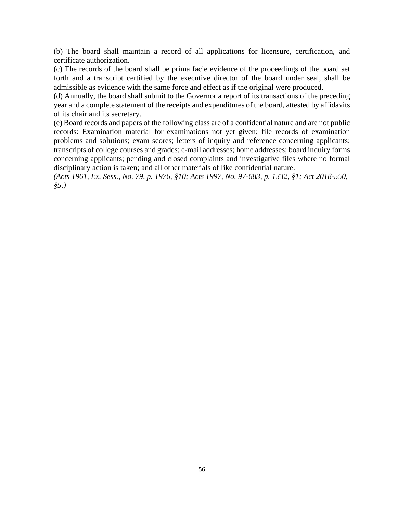(b) The board shall maintain a record of all applications for licensure, certification, and certificate authorization.

(c) The records of the board shall be prima facie evidence of the proceedings of the board set forth and a transcript certified by the executive director of the board under seal, shall be admissible as evidence with the same force and effect as if the original were produced.

(d) Annually, the board shall submit to the Governor a report of its transactions of the preceding year and a complete statement of the receipts and expenditures of the board, attested by affidavits of its chair and its secretary.

(e) Board records and papers of the following class are of a confidential nature and are not public records: Examination material for examinations not yet given; file records of examination problems and solutions; exam scores; letters of inquiry and reference concerning applicants; transcripts of college courses and grades; e-mail addresses; home addresses; board inquiry forms concerning applicants; pending and closed complaints and investigative files where no formal disciplinary action is taken; and all other materials of like confidential nature.

*(Acts 1961, Ex. Sess., No. 79, p. 1976, §10; Acts 1997, No. 97-683, p. 1332, §1; Act 2018-550, §5.)*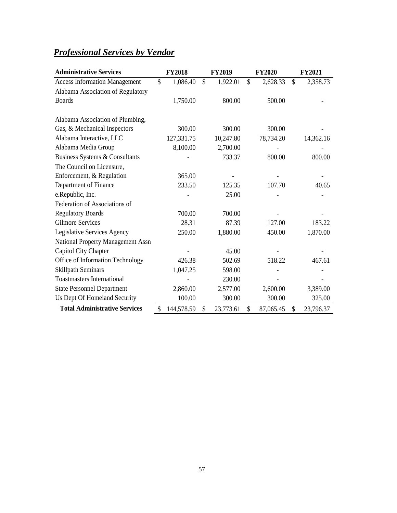## <span id="page-61-0"></span>*Professional Services by Vendor*

| <b>Administrative Services</b>       | <b>FY2018</b>    |               | <b>FY2019</b> |               | <b>FY2020</b> |              | <b>FY2021</b> |
|--------------------------------------|------------------|---------------|---------------|---------------|---------------|--------------|---------------|
| <b>Access Information Management</b> | \$<br>1,086.40   | $\mathcal{S}$ | 1,922.01      | $\mathcal{S}$ | 2,628.33      | $\mathbb{S}$ | 2,358.73      |
| Alabama Association of Regulatory    |                  |               |               |               |               |              |               |
| <b>Boards</b>                        | 1,750.00         |               | 800.00        |               | 500.00        |              |               |
|                                      |                  |               |               |               |               |              |               |
| Alabama Association of Plumbing,     |                  |               |               |               |               |              |               |
| Gas, & Mechanical Inspectors         | 300.00           |               | 300.00        |               | 300.00        |              |               |
| Alabama Interactive, LLC             | 127,331.75       |               | 10,247.80     |               | 78,734.20     |              | 14,362.16     |
| Alabama Media Group                  | 8,100.00         |               | 2,700.00      |               |               |              |               |
| Business Systems & Consultants       |                  |               | 733.37        |               | 800.00        |              | 800.00        |
| The Council on Licensure,            |                  |               |               |               |               |              |               |
| Enforcement, & Regulation            | 365.00           |               |               |               |               |              |               |
| Department of Finance                | 233.50           |               | 125.35        |               | 107.70        |              | 40.65         |
| e.Republic, Inc.                     |                  |               | 25.00         |               |               |              |               |
| Federation of Associations of        |                  |               |               |               |               |              |               |
| <b>Regulatory Boards</b>             | 700.00           |               | 700.00        |               |               |              |               |
| <b>Gilmore Services</b>              | 28.31            |               | 87.39         |               | 127.00        |              | 183.22        |
| Legislative Services Agency          | 250.00           |               | 1,880.00      |               | 450.00        |              | 1,870.00      |
| National Property Management Assn    |                  |               |               |               |               |              |               |
| Capitol City Chapter                 |                  |               | 45.00         |               |               |              |               |
| Office of Information Technology     | 426.38           |               | 502.69        |               | 518.22        |              | 467.61        |
| <b>Skillpath Seminars</b>            | 1,047.25         |               | 598.00        |               |               |              |               |
| <b>Toastmasters International</b>    |                  |               | 230.00        |               |               |              |               |
| <b>State Personnel Department</b>    | 2,860.00         |               | 2,577.00      |               | 2,600.00      |              | 3,389.00      |
| Us Dept Of Homeland Security         | 100.00           |               | 300.00        |               | 300.00        |              | 325.00        |
| <b>Total Administrative Services</b> | \$<br>144,578.59 | \$            | 23,773.61     | \$            | 87,065.45     | \$           | 23,796.37     |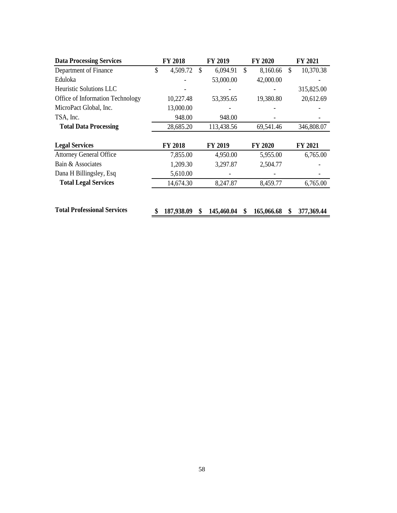| <b>Data Processing Services</b>    | <b>FY 2018</b>   |     | FY 2019    |               | FY 2020        | FY 2021          |
|------------------------------------|------------------|-----|------------|---------------|----------------|------------------|
| Department of Finance              | \$<br>4,509.72   | \$. | 6,094.91   | $\mathcal{S}$ | 8,160.66       | \$<br>10,370.38  |
| Eduloka                            |                  |     | 53,000.00  |               | 42,000.00      |                  |
| <b>Heuristic Solutions LLC</b>     |                  |     |            |               |                | 315,825.00       |
| Office of Information Technology   | 10,227.48        |     | 53,395.65  |               | 19,380.80      | 20,612.69        |
| MicroPact Global, Inc.             | 13,000.00        |     |            |               |                |                  |
| TSA, Inc.                          | 948.00           |     | 948.00     |               |                |                  |
| <b>Total Data Processing</b>       | 28,685.20        |     | 113,438.56 |               | 69,541.46      | 346,808.07       |
|                                    |                  |     |            |               |                |                  |
| <b>Legal Services</b>              | <b>FY 2018</b>   |     | FY 2019    |               | <b>FY 2020</b> | FY 2021          |
| <b>Attorney General Office</b>     | 7,855.00         |     | 4,950.00   |               | 5,955.00       | 6,765.00         |
| Bain & Associates                  | 1,209.30         |     | 3,297.87   |               | 2,504.77       |                  |
| Dana H Billingsley, Esq            | 5,610.00         |     |            |               |                |                  |
| <b>Total Legal Services</b>        | 14,674.30        |     | 8,247.87   |               | 8,459.77       | 6,765.00         |
|                                    |                  |     |            |               |                |                  |
|                                    |                  |     |            |               |                |                  |
| <b>Total Professional Services</b> | \$<br>187,938.09 | \$  | 145,460.04 | \$            | 165,066.68     | \$<br>377,369.44 |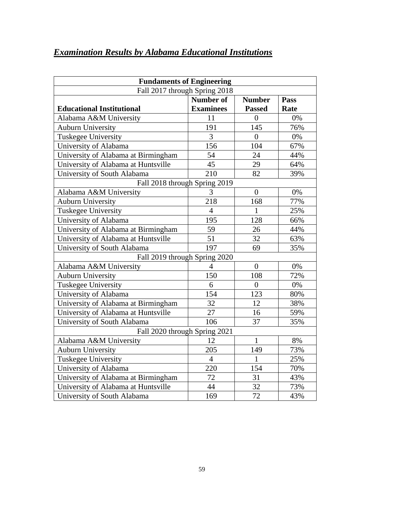| <b>Fundaments of Engineering</b>          |                  |                  |      |  |  |  |  |  |
|-------------------------------------------|------------------|------------------|------|--|--|--|--|--|
| Fall 2017 through Spring 2018             |                  |                  |      |  |  |  |  |  |
| <b>Number of</b><br><b>Number</b><br>Pass |                  |                  |      |  |  |  |  |  |
| <b>Educational Institutional</b>          | <b>Examinees</b> | <b>Passed</b>    | Rate |  |  |  |  |  |
| Alabama A&M University                    | 11               | $\overline{0}$   | 0%   |  |  |  |  |  |
| <b>Auburn University</b>                  | 191              | 145              | 76%  |  |  |  |  |  |
| Tuskegee University                       | $\overline{3}$   | $\overline{0}$   | 0%   |  |  |  |  |  |
| University of Alabama                     | 156              | 104              | 67%  |  |  |  |  |  |
| University of Alabama at Birmingham       | 54               | 24               | 44%  |  |  |  |  |  |
| University of Alabama at Huntsville       | 45               | 29               | 64%  |  |  |  |  |  |
| University of South Alabama               | 210              | 82               | 39%  |  |  |  |  |  |
| Fall 2018 through Spring 2019             |                  |                  |      |  |  |  |  |  |
| Alabama A&M University                    | 3                | $\overline{0}$   | 0%   |  |  |  |  |  |
| <b>Auburn University</b>                  | 218              | 168              | 77%  |  |  |  |  |  |
| <b>Tuskegee University</b>                | 4                | 1                | 25%  |  |  |  |  |  |
| University of Alabama                     | 195              | 128              | 66%  |  |  |  |  |  |
| University of Alabama at Birmingham       | 59               | 26               | 44%  |  |  |  |  |  |
| University of Alabama at Huntsville       | 51               | 32               | 63%  |  |  |  |  |  |
| University of South Alabama               | 197              | 69               | 35%  |  |  |  |  |  |
| Fall 2019 through Spring 2020             |                  |                  |      |  |  |  |  |  |
| Alabama A&M University                    | $\overline{4}$   | $\boldsymbol{0}$ | 0%   |  |  |  |  |  |
| <b>Auburn University</b>                  | 150              | 108              | 72%  |  |  |  |  |  |
| <b>Tuskegee University</b>                | 6                | $\overline{0}$   | 0%   |  |  |  |  |  |
| University of Alabama                     | 154              | 123              | 80%  |  |  |  |  |  |
| University of Alabama at Birmingham       | 32               | 12               | 38%  |  |  |  |  |  |
| University of Alabama at Huntsville       | 27               | 16               | 59%  |  |  |  |  |  |
| University of South Alabama               | 106              | 37               | 35%  |  |  |  |  |  |
| Fall 2020 through Spring 2021             |                  |                  |      |  |  |  |  |  |
| Alabama A&M University                    | 12               | $\mathbf{1}$     | 8%   |  |  |  |  |  |
| <b>Auburn University</b>                  | 205              | 149              | 73%  |  |  |  |  |  |
| <b>Tuskegee University</b>                | $\overline{4}$   | $\mathbf{1}$     | 25%  |  |  |  |  |  |
| University of Alabama                     | 220              | 154              | 70%  |  |  |  |  |  |
| University of Alabama at Birmingham       | 72               | 31               | 43%  |  |  |  |  |  |
| University of Alabama at Huntsville       | 44               | 32               | 73%  |  |  |  |  |  |
| University of South Alabama               | 169              | 72               | 43%  |  |  |  |  |  |

## <span id="page-63-0"></span>*Examination Results by Alabama Educational Institutions*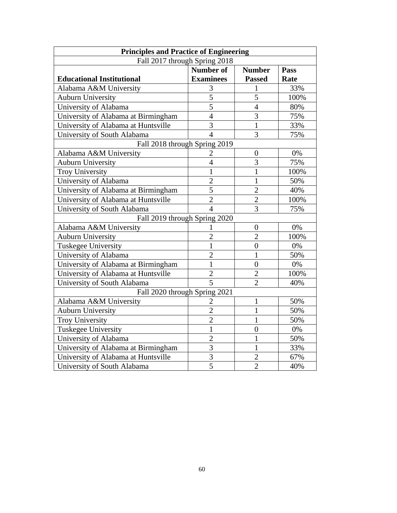| <b>Principles and Practice of Engineering</b> |                  |                  |      |  |  |  |  |
|-----------------------------------------------|------------------|------------------|------|--|--|--|--|
| Fall 2017 through Spring 2018                 |                  |                  |      |  |  |  |  |
| <b>Number of</b><br><b>Number</b><br>Pass     |                  |                  |      |  |  |  |  |
| <b>Educational Institutional</b>              | <b>Examinees</b> | <b>Passed</b>    | Rate |  |  |  |  |
| Alabama A&M University                        | $\overline{3}$   | 1                | 33%  |  |  |  |  |
| <b>Auburn University</b>                      | 5                | 5                | 100% |  |  |  |  |
| University of Alabama                         | 5                | $\overline{4}$   | 80%  |  |  |  |  |
| University of Alabama at Birmingham           | $\overline{4}$   | $\overline{3}$   | 75%  |  |  |  |  |
| University of Alabama at Huntsville           | $\overline{3}$   | 1                | 33%  |  |  |  |  |
| University of South Alabama                   | $\overline{4}$   | 3                | 75%  |  |  |  |  |
| Fall 2018 through Spring 2019                 |                  |                  |      |  |  |  |  |
| Alabama A&M University                        | $\overline{2}$   | $\boldsymbol{0}$ | 0%   |  |  |  |  |
| <b>Auburn University</b>                      | $\overline{4}$   | $\overline{3}$   | 75%  |  |  |  |  |
| <b>Troy University</b>                        | 1                | $\mathbf{1}$     | 100% |  |  |  |  |
| University of Alabama                         | $\overline{2}$   | $\mathbf{1}$     | 50%  |  |  |  |  |
| University of Alabama at Birmingham           | 5                | $\overline{2}$   | 40%  |  |  |  |  |
| University of Alabama at Huntsville           | $\overline{2}$   | $\overline{2}$   | 100% |  |  |  |  |
| University of South Alabama                   | 4                | 3                | 75%  |  |  |  |  |
| Fall 2019 through Spring 2020                 |                  |                  |      |  |  |  |  |
| Alabama A&M University                        | 1                | $\boldsymbol{0}$ | 0%   |  |  |  |  |
| <b>Auburn University</b>                      | $\overline{2}$   | $\overline{2}$   | 100% |  |  |  |  |
| <b>Tuskegee University</b>                    | $\mathbf{1}$     | $\overline{0}$   | 0%   |  |  |  |  |
| University of Alabama                         | $\overline{2}$   | $\mathbf{1}$     | 50%  |  |  |  |  |
| University of Alabama at Birmingham           | $\mathbf{1}$     | $\overline{0}$   | 0%   |  |  |  |  |
| University of Alabama at Huntsville           | $\overline{2}$   | $\overline{2}$   | 100% |  |  |  |  |
| University of South Alabama                   | 5                | $\overline{2}$   | 40%  |  |  |  |  |
| Fall 2020 through Spring 2021                 |                  |                  |      |  |  |  |  |
| Alabama A&M University                        | $\overline{2}$   | 1                | 50%  |  |  |  |  |
| <b>Auburn University</b>                      | $\overline{2}$   | 1                | 50%  |  |  |  |  |
| <b>Troy University</b>                        | $\overline{2}$   | $\mathbf{1}$     | 50%  |  |  |  |  |
| Tuskegee University                           | $\mathbf{1}$     | $\overline{0}$   | 0%   |  |  |  |  |
| University of Alabama                         | $\overline{2}$   | 1                | 50%  |  |  |  |  |
| University of Alabama at Birmingham           | $\overline{3}$   | 1                | 33%  |  |  |  |  |
| University of Alabama at Huntsville           | 3                | $\overline{2}$   | 67%  |  |  |  |  |
| University of South Alabama                   | 5                | $\overline{2}$   | 40%  |  |  |  |  |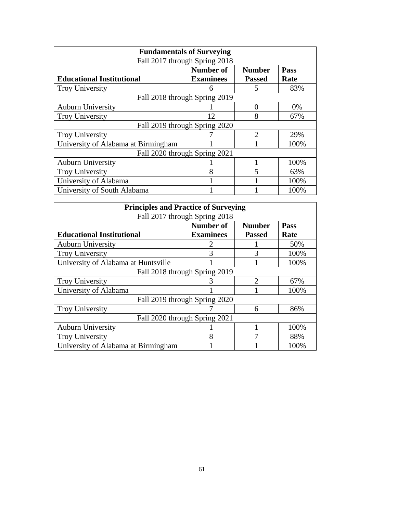| <b>Fundamentals of Surveying</b>    |                  |                             |             |  |  |
|-------------------------------------|------------------|-----------------------------|-------------|--|--|
| Fall 2017 through Spring 2018       |                  |                             |             |  |  |
|                                     | Number of        | <b>Number</b>               | <b>Pass</b> |  |  |
| <b>Educational Institutional</b>    | <b>Examinees</b> | <b>Passed</b>               | Rate        |  |  |
| <b>Troy University</b>              | h                | 5                           | 83%         |  |  |
| Fall 2018 through Spring 2019       |                  |                             |             |  |  |
| <b>Auburn University</b>            |                  | 0                           | 0%          |  |  |
| <b>Troy University</b>              | 12               | 8                           | 67%         |  |  |
| Fall 2019 through Spring 2020       |                  |                             |             |  |  |
| <b>Troy University</b>              |                  | $\mathcal{D}_{\mathcal{A}}$ | 29%         |  |  |
| University of Alabama at Birmingham |                  |                             | 100%        |  |  |
| Fall 2020 through Spring 2021       |                  |                             |             |  |  |
| <b>Auburn University</b>            |                  |                             | 100%        |  |  |
| <b>Troy University</b>              | 8                | 5                           | 63%         |  |  |
| University of Alabama               |                  |                             | 100%        |  |  |
| University of South Alabama         |                  |                             | 100%        |  |  |

| <b>Principles and Practice of Surveying</b> |                  |                             |      |  |  |
|---------------------------------------------|------------------|-----------------------------|------|--|--|
| Fall 2017 through Spring 2018               |                  |                             |      |  |  |
|                                             | Number of        | <b>Number</b>               | Pass |  |  |
| <b>Educational Institutional</b>            | <b>Examinees</b> | <b>Passed</b>               | Rate |  |  |
| <b>Auburn University</b>                    |                  |                             | 50%  |  |  |
| <b>Troy University</b>                      | 3                | 3                           | 100% |  |  |
| University of Alabama at Huntsville         |                  |                             | 100% |  |  |
| Fall 2018 through Spring 2019               |                  |                             |      |  |  |
| <b>Troy University</b>                      | 3                | $\mathcal{D}_{\mathcal{L}}$ | 67%  |  |  |
| University of Alabama                       |                  |                             | 100% |  |  |
| Fall 2019 through Spring 2020               |                  |                             |      |  |  |
| <b>Troy University</b>                      |                  | 6                           | 86%  |  |  |
| Fall 2020 through Spring 2021               |                  |                             |      |  |  |
| <b>Auburn University</b>                    |                  |                             | 100% |  |  |
| <b>Troy University</b>                      | 8                |                             | 88%  |  |  |
| University of Alabama at Birmingham         |                  |                             | 100% |  |  |